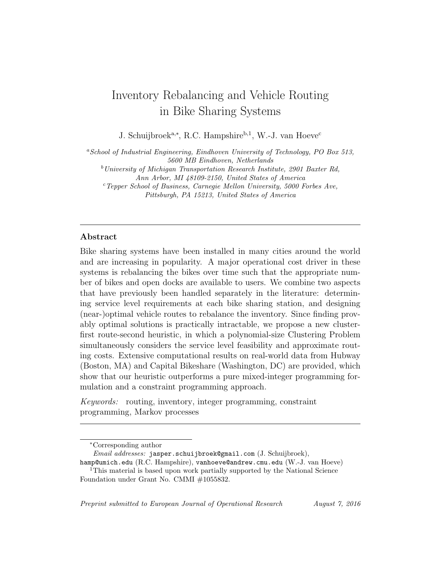# Inventory Rebalancing and Vehicle Routing in Bike Sharing Systems

J. Schuijbroek<sup>a,∗</sup>, R.C. Hampshire<sup>b,1</sup>, W.-J. van Hoeve<sup>c</sup>

 $a$ School of Industrial Engineering, Eindhoven University of Technology, PO Box 513, 5600 MB Eindhoven, Netherlands

 $b$ University of Michigan Transportation Research Institute, 2901 Baxter Rd, Ann Arbor, MI 48109-2150, United States of America

 $c$ Tepper School of Business, Carnegie Mellon University, 5000 Forbes Ave, Pittsburgh, PA 15213, United States of America

## Abstract

Bike sharing systems have been installed in many cities around the world and are increasing in popularity. A major operational cost driver in these systems is rebalancing the bikes over time such that the appropriate number of bikes and open docks are available to users. We combine two aspects that have previously been handled separately in the literature: determining service level requirements at each bike sharing station, and designing (near-)optimal vehicle routes to rebalance the inventory. Since finding provably optimal solutions is practically intractable, we propose a new clusterfirst route-second heuristic, in which a polynomial-size Clustering Problem simultaneously considers the service level feasibility and approximate routing costs. Extensive computational results on real-world data from Hubway (Boston, MA) and Capital Bikeshare (Washington, DC) are provided, which show that our heuristic outperforms a pure mixed-integer programming formulation and a constraint programming approach.

Keywords: routing, inventory, integer programming, constraint programming, Markov processes

<sup>∗</sup>Corresponding author

Email addresses: jasper.schuijbroek@gmail.com (J. Schuijbroek),

hamp@umich.edu (R.C. Hampshire), vanhoeve@andrew.cmu.edu (W.-J. van Hoeve) <sup>1</sup>This material is based upon work partially supported by the National Science Foundation under Grant No. CMMI #1055832.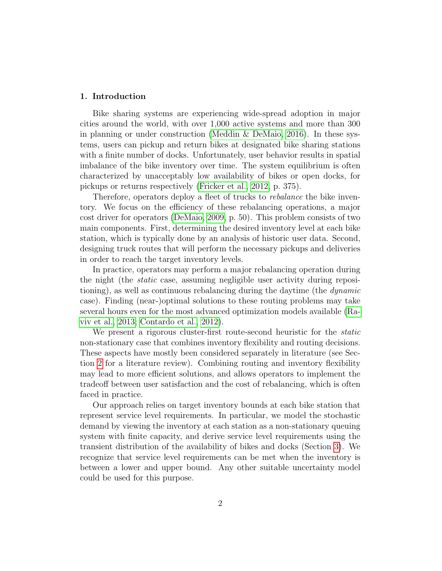# 1. Introduction

Bike sharing systems are experiencing wide-spread adoption in major cities around the world, with over 1,000 active systems and more than 300 in planning or under construction (Meddin  $\&$  DeMaio, 2016). In these systems, users can pickup and return bikes at designated bike sharing stations with a finite number of docks. Unfortunately, user behavior results in spatial imbalance of the bike inventory over time. The system equilibrium is often characterized by unacceptably low availability of bikes or open docks, for pickups or returns respectively [\(Fricker et al., 2012,](#page-35-0) p. 375).

Therefore, operators deploy a fleet of trucks to *rebalance* the bike inventory. We focus on the efficiency of these rebalancing operations, a major cost driver for operators [\(DeMaio, 2009,](#page-34-0) p. 50). This problem consists of two main components. First, determining the desired inventory level at each bike station, which is typically done by an analysis of historic user data. Second, designing truck routes that will perform the necessary pickups and deliveries in order to reach the target inventory levels.

In practice, operators may perform a major rebalancing operation during the night (the static case, assuming negligible user activity during repositioning), as well as continuous rebalancing during the daytime (the dynamic case). Finding (near-)optimal solutions to these routing problems may take several hours even for the most advanced optimization models available [\(Ra](#page-38-0)[viv et al., 2013;](#page-38-0) [Contardo et al., 2012\)](#page-34-1).

We present a rigorous cluster-first route-second heuristic for the *static* non-stationary case that combines inventory flexibility and routing decisions. These aspects have mostly been considered separately in literature (see Section [2](#page-2-0) for a literature review). Combining routing and inventory flexibility may lead to more efficient solutions, and allows operators to implement the tradeoff between user satisfaction and the cost of rebalancing, which is often faced in practice.

Our approach relies on target inventory bounds at each bike station that represent service level requirements. In particular, we model the stochastic demand by viewing the inventory at each station as a non-stationary queuing system with finite capacity, and derive service level requirements using the transient distribution of the availability of bikes and docks (Section [3\)](#page-6-0). We recognize that service level requirements can be met when the inventory is between a lower and upper bound. Any other suitable uncertainty model could be used for this purpose.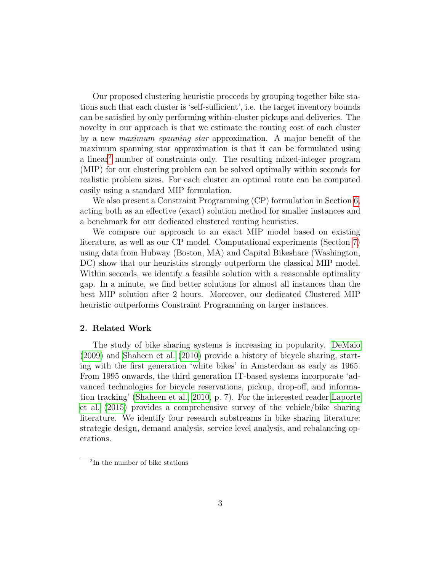Our proposed clustering heuristic proceeds by grouping together bike stations such that each cluster is 'self-sufficient', i.e. the target inventory bounds can be satisfied by only performing within-cluster pickups and deliveries. The novelty in our approach is that we estimate the routing cost of each cluster by a new maximum spanning star approximation. A major benefit of the maximum spanning star approximation is that it can be formulated using a linear[2](#page-2-1) number of constraints only. The resulting mixed-integer program (MIP) for our clustering problem can be solved optimally within seconds for realistic problem sizes. For each cluster an optimal route can be computed easily using a standard MIP formulation.

We also present a Constraint Programming (CP) formulation in Section [6,](#page-21-0) acting both as an effective (exact) solution method for smaller instances and a benchmark for our dedicated clustered routing heuristics.

We compare our approach to an exact MIP model based on existing literature, as well as our CP model. Computational experiments (Section [7\)](#page-24-0) using data from Hubway (Boston, MA) and Capital Bikeshare (Washington, DC) show that our heuristics strongly outperform the classical MIP model. Within seconds, we identify a feasible solution with a reasonable optimality gap. In a minute, we find better solutions for almost all instances than the best MIP solution after 2 hours. Moreover, our dedicated Clustered MIP heuristic outperforms Constraint Programming on larger instances.

## <span id="page-2-0"></span>2. Related Work

The study of bike sharing systems is increasing in popularity. [DeMaio](#page-34-0) [\(2009\)](#page-34-0) and [Shaheen et al.](#page-38-1) [\(2010\)](#page-38-1) provide a history of bicycle sharing, starting with the first generation 'white bikes' in Amsterdam as early as 1965. From 1995 onwards, the third generation IT-based systems incorporate 'advanced technologies for bicycle reservations, pickup, drop-off, and information tracking' [\(Shaheen et al., 2010,](#page-38-1) p. 7). For the interested reader [Laporte](#page-36-0) [et al.](#page-36-0) [\(2015\)](#page-36-0) provides a comprehensive survey of the vehicle/bike sharing literature. We identify four research substreams in bike sharing literature: strategic design, demand analysis, service level analysis, and rebalancing operations.

<span id="page-2-1"></span><sup>2</sup> In the number of bike stations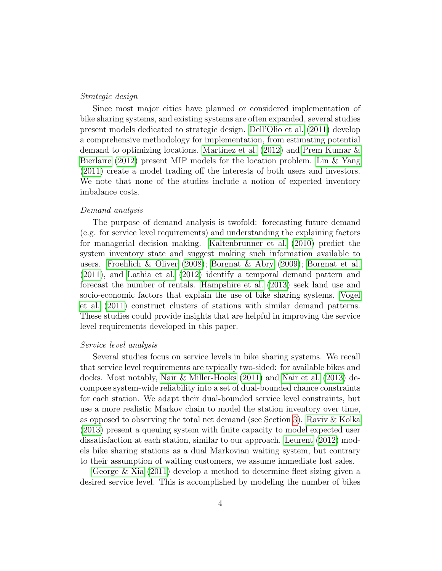## Strategic design

Since most major cities have planned or considered implementation of bike sharing systems, and existing systems are often expanded, several studies present models dedicated to strategic design. [Dell'Olio et al.](#page-34-2) [\(2011\)](#page-34-2) develop a comprehensive methodology for implementation, from estimating potential demand to optimizing locations. [Martinez et al.](#page-37-1) [\(2012\)](#page-37-1) and [Prem Kumar &](#page-37-2) [Bierlaire](#page-37-2) [\(2012\)](#page-37-2) present MIP models for the location problem. [Lin & Yang](#page-36-1) [\(2011\)](#page-36-1) create a model trading off the interests of both users and investors. We note that none of the studies include a notion of expected inventory imbalance costs.

## Demand analysis

The purpose of demand analysis is twofold: forecasting future demand (e.g. for service level requirements) and understanding the explaining factors for managerial decision making. [Kaltenbrunner et al.](#page-36-2) [\(2010\)](#page-36-2) predict the system inventory state and suggest making such information available to users. [Froehlich & Oliver](#page-35-1) [\(2008\)](#page-35-1); [Borgnat & Abry](#page-33-0) [\(2009\)](#page-33-0); [Borgnat et al.](#page-33-1) [\(2011\)](#page-33-1), and [Lathia et al.](#page-36-3) [\(2012\)](#page-36-3) identify a temporal demand pattern and forecast the number of rentals. [Hampshire et al.](#page-35-2) [\(2013\)](#page-35-2) seek land use and socio-economic factors that explain the use of bike sharing systems. [Vogel](#page-38-2) [et al.](#page-38-2) [\(2011\)](#page-38-2) construct clusters of stations with similar demand patterns. These studies could provide insights that are helpful in improving the service level requirements developed in this paper.

## Service level analysis

Several studies focus on service levels in bike sharing systems. We recall that service level requirements are typically two-sided: for available bikes and docks. Most notably, [Nair & Miller-Hooks](#page-37-3) [\(2011\)](#page-37-3) and [Nair et al.](#page-37-4) [\(2013\)](#page-37-4) decompose system-wide reliability into a set of dual-bounded chance constraints for each station. We adapt their dual-bounded service level constraints, but use a more realistic Markov chain to model the station inventory over time, as opposed to observing the total net demand (see Section [3\)](#page-6-0). [Raviv & Kolka](#page-37-5) [\(2013\)](#page-37-5) present a queuing system with finite capacity to model expected user dissatisfaction at each station, similar to our approach. [Leurent](#page-36-4) [\(2012\)](#page-36-4) models bike sharing stations as a dual Markovian waiting system, but contrary to their assumption of waiting customers, we assume immediate lost sales.

[George & Xia](#page-35-3) [\(2011\)](#page-35-3) develop a method to determine fleet sizing given a desired service level. This is accomplished by modeling the number of bikes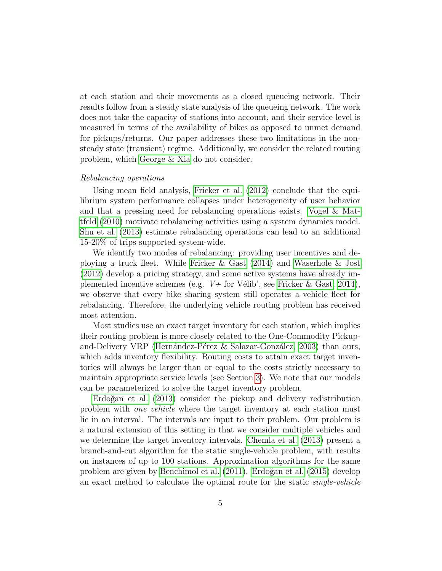at each station and their movements as a closed queueing network. Their results follow from a steady state analysis of the queueing network. The work does not take the capacity of stations into account, and their service level is measured in terms of the availability of bikes as opposed to unmet demand for pickups/returns. Our paper addresses these two limitations in the nonsteady state (transient) regime. Additionally, we consider the related routing problem, which [George & Xia](#page-35-3) do not consider.

## Rebalancing operations

Using mean field analysis, [Fricker et al.](#page-35-0) [\(2012\)](#page-35-0) conclude that the equilibrium system performance collapses under heterogeneity of user behavior and that a pressing need for rebalancing operations exists. [Vogel & Mat](#page-38-3)[tfeld](#page-38-3) [\(2010\)](#page-38-3) motivate rebalancing activities using a system dynamics model. [Shu et al.](#page-38-4) [\(2013\)](#page-38-4) estimate rebalancing operations can lead to an additional 15-20% of trips supported system-wide.

We identify two modes of rebalancing: providing user incentives and deploying a truck fleet. While [Fricker & Gast](#page-35-4) [\(2014\)](#page-35-4) and [Waserhole & Jost](#page-38-5) [\(2012\)](#page-38-5) develop a pricing strategy, and some active systems have already implemented incentive schemes (e.g.  $V+$  for Vélib', see [Fricker & Gast, 2014\)](#page-35-4), we observe that every bike sharing system still operates a vehicle fleet for rebalancing. Therefore, the underlying vehicle routing problem has received most attention.

Most studies use an exact target inventory for each station, which implies their routing problem is more closely related to the One-Commodity Pickupand-Delivery VRP (Hernández-Pérez & Salazar-González, 2003) than ours, which adds inventory flexibility. Routing costs to attain exact target inventories will always be larger than or equal to the costs strictly necessary to maintain appropriate service levels (see Section [3\)](#page-6-0). We note that our models can be parameterized to solve the target inventory problem.

Erdoğan et al. [\(2013\)](#page-35-6) consider the pickup and delivery redistribution problem with one vehicle where the target inventory at each station must lie in an interval. The intervals are input to their problem. Our problem is a natural extension of this setting in that we consider multiple vehicles and we determine the target inventory intervals. [Chemla et al.](#page-34-3) [\(2013\)](#page-34-3) present a branch-and-cut algorithm for the static single-vehicle problem, with results on instances of up to 100 stations. Approximation algorithms for the same problem are given by [Benchimol et al.](#page-33-2) [\(2011\)](#page-33-2). Erdoğan et al. [\(2015\)](#page-34-4) develop an exact method to calculate the optimal route for the static single-vehicle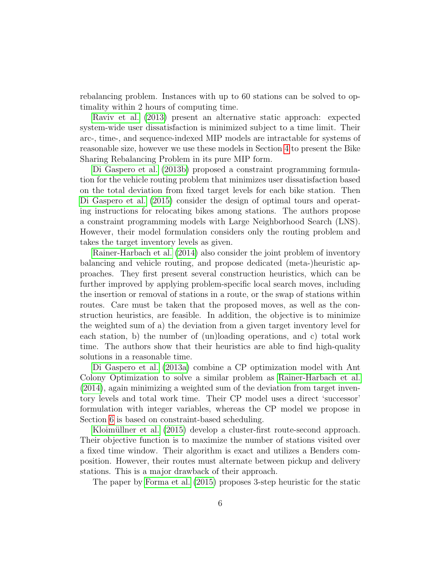rebalancing problem. Instances with up to 60 stations can be solved to optimality within 2 hours of computing time.

[Raviv et al.](#page-38-0) [\(2013\)](#page-38-0) present an alternative static approach: expected system-wide user dissatisfaction is minimized subject to a time limit. Their arc-, time-, and sequence-indexed MIP models are intractable for systems of reasonable size, however we use these models in Section [4](#page-11-0) to present the Bike Sharing Rebalancing Problem in its pure MIP form.

[Di Gaspero et al.](#page-34-5) [\(2013b\)](#page-34-5) proposed a constraint programming formulation for the vehicle routing problem that minimizes user dissatisfaction based on the total deviation from fixed target levels for each bike station. Then [Di Gaspero et al.](#page-34-6) [\(2015\)](#page-34-6) consider the design of optimal tours and operating instructions for relocating bikes among stations. The authors propose a constraint programming models with Large Neighborhood Search (LNS). However, their model formulation considers only the routing problem and takes the target inventory levels as given.

[Rainer-Harbach et al.](#page-37-6) [\(2014\)](#page-37-6) also consider the joint problem of inventory balancing and vehicle routing, and propose dedicated (meta-)heuristic approaches. They first present several construction heuristics, which can be further improved by applying problem-specific local search moves, including the insertion or removal of stations in a route, or the swap of stations within routes. Care must be taken that the proposed moves, as well as the construction heuristics, are feasible. In addition, the objective is to minimize the weighted sum of a) the deviation from a given target inventory level for each station, b) the number of (un)loading operations, and c) total work time. The authors show that their heuristics are able to find high-quality solutions in a reasonable time.

[Di Gaspero et al.](#page-34-7) [\(2013a\)](#page-34-7) combine a CP optimization model with Ant Colony Optimization to solve a similar problem as [Rainer-Harbach et al.](#page-37-6) [\(2014\)](#page-37-6), again minimizing a weighted sum of the deviation from target inventory levels and total work time. Their CP model uses a direct 'successor' formulation with integer variables, whereas the CP model we propose in Section [6](#page-21-0) is based on constraint-based scheduling.

Kloimüllner et al. [\(2015\)](#page-36-5) develop a cluster-first route-second approach. Their objective function is to maximize the number of stations visited over a fixed time window. Their algorithm is exact and utilizes a Benders composition. However, their routes must alternate between pickup and delivery stations. This is a major drawback of their approach.

The paper by [Forma et al.](#page-35-7) [\(2015\)](#page-35-7) proposes 3-step heuristic for the static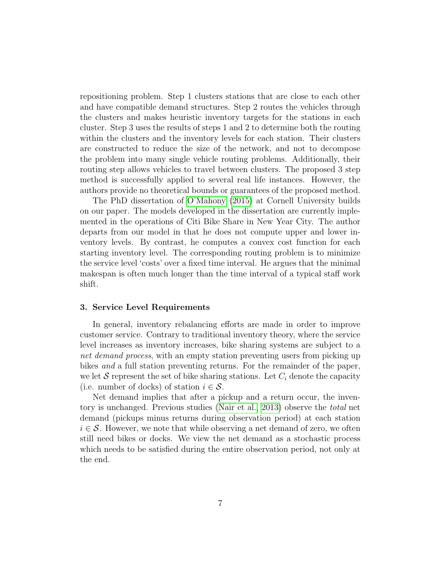repositioning problem. Step 1 clusters stations that are close to each other and have compatible demand structures. Step 2 routes the vehicles through the clusters and makes heuristic inventory targets for the stations in each cluster. Step 3 uses the results of steps 1 and 2 to determine both the routing within the clusters and the inventory levels for each station. Their clusters are constructed to reduce the size of the network, and not to decompose the problem into many single vehicle routing problems. Additionally, their routing step allows vehicles to travel between clusters. The proposed 3 step method is successfully applied to several real life instances. However, the authors provide no theoretical bounds or guarantees of the proposed method.

The PhD dissertation of [O'Mahony](#page-37-7) [\(2015\)](#page-37-7) at Cornell University builds on our paper. The models developed in the dissertation are currently implemented in the operations of Citi Bike Share in New Year City. The author departs from our model in that he does not compute upper and lower inventory levels. By contrast, he computes a convex cost function for each starting inventory level. The corresponding routing problem is to minimize the service level 'costs' over a fixed time interval. He argues that the minimal makespan is often much longer than the time interval of a typical staff work shift.

#### <span id="page-6-0"></span>3. Service Level Requirements

In general, inventory rebalancing efforts are made in order to improve customer service. Contrary to traditional inventory theory, where the service level increases as inventory increases, bike sharing systems are subject to a net demand process, with an empty station preventing users from picking up bikes and a full station preventing returns. For the remainder of the paper, we let S represent the set of bike sharing stations. Let  $C_i$  denote the capacity (i.e. number of docks) of station  $i \in \mathcal{S}$ .

Net demand implies that after a pickup and a return occur, the inventory is unchanged. Previous studies [\(Nair et al., 2013\)](#page-37-4) observe the total net demand (pickups minus returns during observation period) at each station  $i \in \mathcal{S}$ . However, we note that while observing a net demand of zero, we often still need bikes or docks. We view the net demand as a stochastic process which needs to be satisfied during the entire observation period, not only at the end.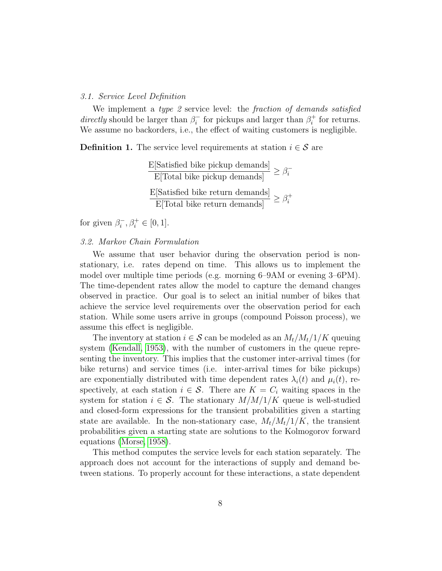## 3.1. Service Level Definition

We implement a type 2 service level: the fraction of demands satisfied directly should be larger than  $\beta_i^ \hat{a}_i$ <sup>-</sup> for pickups and larger than  $\beta_i^+$  $i<sub>i</sub>$  for returns. We assume no backorders, i.e., the effect of waiting customers is negligible.

<span id="page-7-0"></span>**Definition 1.** The service level requirements at station  $i \in \mathcal{S}$  are

E[Satisfied bike pickup demands]  $\geq \beta_i^{-1}$ i  $\frac{E[\text{Satisfied bike return demands}]}{E[\text{Total bike return demands}]} \geq \beta_i^+$ i

for given  $\beta_i^$  $i, \beta_i^+ \in [0, 1].$ 

# 3.2. Markov Chain Formulation

We assume that user behavior during the observation period is nonstationary, i.e. rates depend on time. This allows us to implement the model over multiple time periods (e.g. morning 6–9AM or evening 3–6PM). The time-dependent rates allow the model to capture the demand changes observed in practice. Our goal is to select an initial number of bikes that achieve the service level requirements over the observation period for each station. While some users arrive in groups (compound Poisson process), we assume this effect is negligible.

The inventory at station  $i \in \mathcal{S}$  can be modeled as an  $M_t/M_t/1/K$  queuing system [\(Kendall, 1953\)](#page-36-6), with the number of customers in the queue representing the inventory. This implies that the customer inter-arrival times (for bike returns) and service times (i.e. inter-arrival times for bike pickups) are exponentially distributed with time dependent rates  $\lambda_i(t)$  and  $\mu_i(t)$ , respectively, at each station  $i \in \mathcal{S}$ . There are  $K = C_i$  waiting spaces in the system for station  $i \in \mathcal{S}$ . The stationary  $M/M/1/K$  queue is well-studied and closed-form expressions for the transient probabilities given a starting state are available. In the non-stationary case,  $M_t/M_t/1/K$ , the transient probabilities given a starting state are solutions to the Kolmogorov forward equations [\(Morse, 1958\)](#page-37-8).

This method computes the service levels for each station separately. The approach does not account for the interactions of supply and demand between stations. To properly account for these interactions, a state dependent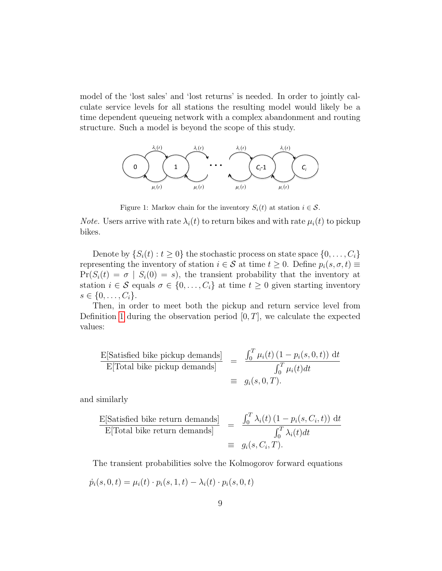model of the 'lost sales' and 'lost returns' is needed. In order to jointly calculate service levels for all stations the resulting model would likely be a time dependent queueing network with a complex abandonment and routing structure. Such a model is beyond the scope of this study.



Figure 1: Markov chain for the inventory  $S_i(t)$  at station  $i \in \mathcal{S}$ .

*Note.* Users arrive with rate  $\lambda_i(t)$  to return bikes and with rate  $\mu_i(t)$  to pickup bikes.

Denote by  $\{S_i(t): t \geq 0\}$  the stochastic process on state space  $\{0, \ldots, C_i\}$ representing the inventory of station  $i \in \mathcal{S}$  at time  $t \geq 0$ . Define  $p_i(s, \sigma, t) \equiv$  $Pr(S_i(t) = \sigma | S_i(0) = s)$ , the transient probability that the inventory at station  $i \in \mathcal{S}$  equals  $\sigma \in \{0, \ldots, C_i\}$  at time  $t \geq 0$  given starting inventory  $s \in \{0, \ldots, C_i\}.$ 

Then, in order to meet both the pickup and return service level from Definition [1](#page-7-0) during the observation period  $[0, T]$ , we calculate the expected values:

$$
\frac{\text{E[Satisfied bike pickup demands]}}{\text{E[Total bike pickup demands]}} = \frac{\int_0^T \mu_i(t) (1 - p_i(s, 0, t)) dt}{\int_0^T \mu_i(t) dt}
$$
\n
$$
\equiv g_i(s, 0, T).
$$

and similarly

$$
\frac{\text{E[Satisfied bike return demands]}}{\text{E[Total bike return demands]}} = \frac{\int_0^T \lambda_i(t) (1 - p_i(s, C_i, t)) dt}{\int_0^T \lambda_i(t) dt}
$$

$$
\equiv g_i(s, C_i, T).
$$

The transient probabilities solve the Kolmogorov forward equations

$$
\dot{p}_i(s, 0, t) = \mu_i(t) \cdot p_i(s, 1, t) - \lambda_i(t) \cdot p_i(s, 0, t)
$$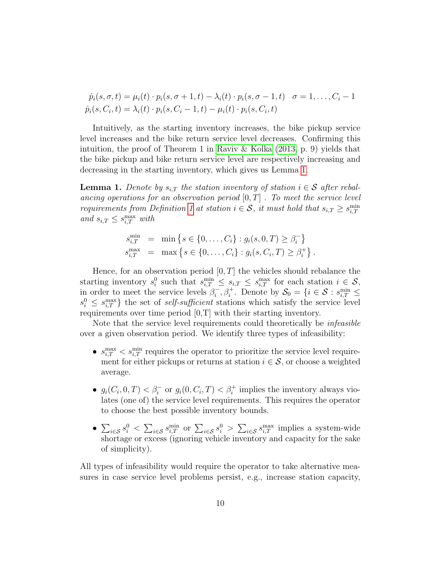$\dot{p}_i(s, \sigma, t) = \mu_i(t) \cdot p_i(s, \sigma + 1, t) - \lambda_i(t) \cdot p_i(s, \sigma - 1, t) \quad \sigma = 1, \ldots, C_i - 1$  $\dot{p}_i(s, C_i, t) = \lambda_i(t) \cdot p_i(s, C_i - 1, t) - \mu_i(t) \cdot p_i(s, C_i, t)$ 

Intuitively, as the starting inventory increases, the bike pickup service level increases and the bike return service level decreases. Confirming this intuition, the proof of Theorem 1 in [Raviv & Kolka](#page-37-5)  $(2013, p. 9)$  $(2013, p. 9)$  yields that the bike pickup and bike return service level are respectively increasing and decreasing in the starting inventory, which gives us Lemma [1.](#page-9-0)

<span id="page-9-0"></span>**Lemma 1.** Denote by  $s_{i,T}$  the station inventory of station  $i \in \mathcal{S}$  after rebalancing operations for an observation period  $[0, T]$ . To meet the service level requirements from Definition [1](#page-7-0) at station  $i \in S$ , it must hold that  $s_{i,T} \geq s_{i,T}^{\min}$ and  $s_{i,T} \leq s_{i,T}^{\max}$  with

$$
s_{i,T}^{\min} = \min \{ s \in \{0, ..., C_i\} : g_i(s, 0, T) \ge \beta_i^- \}
$$
  

$$
s_{i,T}^{\max} = \max \{ s \in \{0, ..., C_i\} : g_i(s, C_i, T) \ge \beta_i^+ \}.
$$

Hence, for an observation period  $[0, T]$  the vehicles should rebalance the starting inventory  $s_i^0$  such that  $s_{i,T}^{\min} \leq s_{i,T} \leq s_{i,T}^{\max}$  for each station  $i \in \mathcal{S}$ , in order to meet the service levels  $\beta_i^ \mathcal{S}_i^-, \beta_i^+$ . Denote by  $\mathcal{S}_0 = \{i \in \mathcal{S} : s_{i,T}^{\min} \leq \mathcal{S}_i\}$  $s_i^0 \leq s_{i,T}^{\text{max}}$  the set of self-sufficient stations which satisfy the service level requirements over time period [0,T] with their starting inventory.

Note that the service level requirements could theoretically be *infeasible* over a given observation period. We identify three types of infeasibility:

- $s_{i,T}^{\text{max}} < s_{i,T}^{\text{min}}$  requires the operator to prioritize the service level requirement for either pickups or returns at station  $i \in \mathcal{S}$ , or choose a weighted average.
- $g_i(C_i, 0, T) < \beta_i$  or  $g_i(0, C_i, T) < \beta_i^+$  implies the inventory always violates (one of) the service level requirements. This requires the operator to choose the best possible inventory bounds.
- $\sum_{i \in S} s_i^0 < \sum_{i \in S} s_{i,T}^{\min}$  or  $\sum_{i \in S} s_i^0 > \sum_{i \in S} s_{i,T}^{\max}$  implies a system-wide shortage or excess (ignoring vehicle inventory and capacity for the sake of simplicity).

All types of infeasibility would require the operator to take alternative measures in case service level problems persist, e.g., increase station capacity,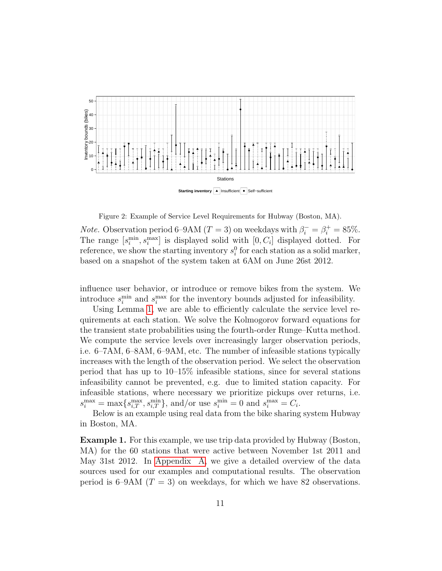

<span id="page-10-0"></span>Figure 2: Example of Service Level Requirements for Hubway (Boston, MA).

*Note.* Observation period 6–9AM ( $T = 3$ ) on weekdays with  $\beta_i^- = \beta_i^+ = 85\%$ . The range  $[s_i^{\min}, s_i^{\max}]$  is displayed solid with  $[0, C_i]$  displayed dotted. For reference, we show the starting inventory  $s_i^0$  for each station as a solid marker, based on a snapshot of the system taken at 6AM on June 26st 2012.

influence user behavior, or introduce or remove bikes from the system. We introduce  $s_i^{\text{min}}$  and  $s_i^{\text{max}}$  for the inventory bounds adjusted for infeasibility.

Using Lemma [1,](#page-9-0) we are able to efficiently calculate the service level requirements at each station. We solve the Kolmogorov forward equations for the transient state probabilities using the fourth-order Runge–Kutta method. We compute the service levels over increasingly larger observation periods, i.e. 6–7AM, 6–8AM, 6–9AM, etc. The number of infeasible stations typically increases with the length of the observation period. We select the observation period that has up to 10–15% infeasible stations, since for several stations infeasibility cannot be prevented, e.g. due to limited station capacity. For infeasible stations, where necessary we prioritize pickups over returns, i.e.  $s_i^{\max} = \max\{s_{i,T}^{\max}, s_{i,T}^{\min}\}\$ , and/or use  $s_i^{\min} = 0$  and  $s_i^{\max} = C_i$ .

Below is an example using real data from the bike sharing system Hubway in Boston, MA.

<span id="page-10-1"></span>Example 1. For this example, we use trip data provided by Hubway (Boston, MA) for the 60 stations that were active between November 1st 2011 and May 31st 2012. In [Appendix A,](#page-32-0) we give a detailed overview of the data sources used for our examples and computational results. The observation period is 6–9AM ( $T = 3$ ) on weekdays, for which we have 82 observations.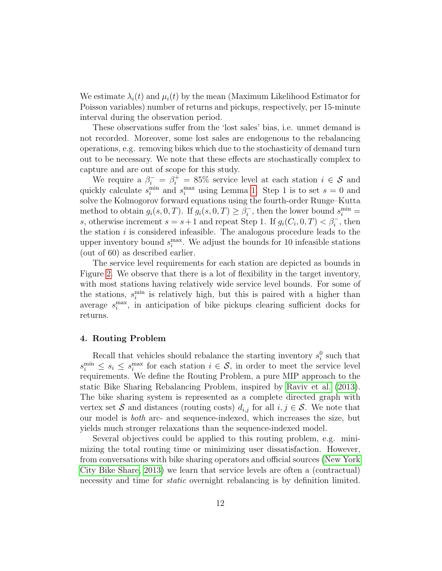We estimate  $\lambda_i(t)$  and  $\mu_i(t)$  by the mean (Maximum Likelihood Estimator for Poisson variables) number of returns and pickups, respectively, per 15-minute interval during the observation period.

These observations suffer from the 'lost sales' bias, i.e. unmet demand is not recorded. Moreover, some lost sales are endogenous to the rebalancing operations, e.g. removing bikes which due to the stochasticity of demand turn out to be necessary. We note that these effects are stochastically complex to capture and are out of scope for this study.

We require a  $\beta_i^- = \beta_i^+ = 85\%$  service level at each station  $i \in \mathcal{S}$  and quickly calculate  $s_i^{\text{min}}$  and  $s_i^{\text{max}}$  using Lemma [1.](#page-9-0) Step 1 is to set  $s = 0$  and solve the Kolmogorov forward equations using the fourth-order Runge–Kutta method to obtain  $g_i(s, 0, T)$ . If  $g_i(s, 0, T) \geq \beta_i^{-1}$  $i,$ , then the lower bound  $s_i^{\min} =$ s, otherwise increment  $s = s + 1$  and repeat Step 1. If  $g_i(C_i, 0, T) < \beta_i$ , then the station  $i$  is considered infeasible. The analogous procedure leads to the upper inventory bound  $s_i^{\text{max}}$ . We adjust the bounds for 10 infeasible stations (out of 60) as described earlier.

The service level requirements for each station are depicted as bounds in Figure [2.](#page-10-0) We observe that there is a lot of flexibility in the target inventory, with most stations having relatively wide service level bounds. For some of the stations,  $s_i^{\text{min}}$  is relatively high, but this is paired with a higher than average  $s_i^{\text{max}}$ , in anticipation of bike pickups clearing sufficient docks for returns.

#### <span id="page-11-0"></span>4. Routing Problem

Recall that vehicles should rebalance the starting inventory  $s_i^0$  such that  $s_i^{\min} \leq s_i \leq s_i^{\max}$  for each station  $i \in \mathcal{S}$ , in order to meet the service level requirements. We define the Routing Problem, a pure MIP approach to the static Bike Sharing Rebalancing Problem, inspired by [Raviv et al.](#page-38-0) [\(2013\)](#page-38-0). The bike sharing system is represented as a complete directed graph with vertex set S and distances (routing costs)  $d_{i,j}$  for all  $i, j \in S$ . We note that our model is both arc- and sequence-indexed, which increases the size, but yields much stronger relaxations than the sequence-indexed model.

Several objectives could be applied to this routing problem, e.g. minimizing the total routing time or minimizing user dissatisfaction. However, from conversations with bike sharing operators and official sources [\(New York](#page-37-9) [City Bike Share, 2013\)](#page-37-9) we learn that service levels are often a (contractual) necessity and time for *static* overnight rebalancing is by definition limited.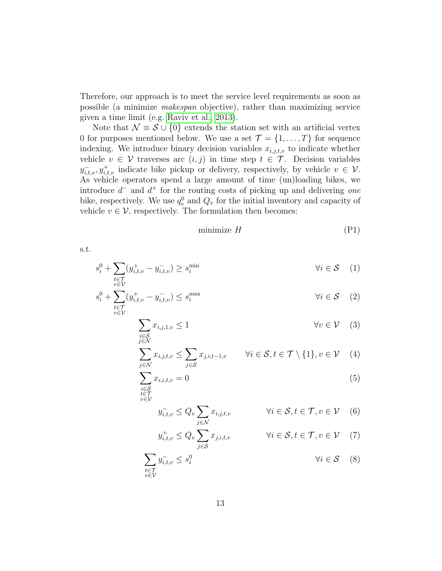Therefore, our approach is to meet the service level requirements as soon as possible (a minimize makespan objective), rather than maximizing service given a time limit (e.g. [Raviv et al., 2013\)](#page-38-0).

Note that  $\mathcal{N} \equiv \mathcal{S} \cup \{0\}$  extends the station set with an artificial vertex 0 for purposes mentioned below. We use a set  $\mathcal{T} = \{1, \ldots, T\}$  for sequence indexing. We introduce binary decision variables  $x_{i,j,t,v}$  to indicate whether vehicle  $v \in V$  traverses arc  $(i, j)$  in time step  $t \in \mathcal{T}$ . Decision variables  $y_{i,t,v}^-, y_{i,t,v}^+$  indicate bike pickup or delivery, respectively, by vehicle  $v \in V$ . As vehicle operators spend a large amount of time (un)loading bikes, we introduce  $d^-$  and  $d^+$  for the routing costs of picking up and delivering one bike, respectively. We use  $q_v^0$  and  $Q_v$  for the initial inventory and capacity of vehicle  $v \in \mathcal{V}$ , respectively. The formulation then becomes:

<span id="page-12-8"></span><span id="page-12-4"></span><span id="page-12-2"></span><span id="page-12-1"></span><span id="page-12-0"></span>
$$
minimize H \tag{P1}
$$

s.t.

$$
s_i^0 + \sum_{\substack{t \in \mathcal{T} \\ v \in \mathcal{V}}} (y_{i,t,v}^+ - y_{i,t,v}^-) \ge s_i^{\min} \qquad \qquad \forall i \in \mathcal{S} \quad (1)
$$

$$
s_i^0 + \sum_{\substack{t \in \mathcal{T} \\ v \in \mathcal{V}}} (y_{i,t,v}^+ - y_{i,t,v}^-) \le s_i^{\max} \qquad \qquad \forall i \in \mathcal{S} \tag{2}
$$

$$
\sum_{\substack{i \in S \\ j \in \mathcal{N}}} x_{i,j,1,v} \le 1 \qquad \forall v \in \mathcal{V} \quad (3)
$$

$$
\sum_{j \in \mathcal{N}} x_{i,j,t,v} \le \sum_{j \in \mathcal{S}} x_{j,i,t-1,v} \qquad \forall i \in \mathcal{S}, t \in \mathcal{T} \setminus \{1\}, v \in \mathcal{V} \quad (4)
$$

$$
\sum_{\substack{i \in S \\ t \in \mathcal{T} \\ v \in \mathcal{V}}} x_{i,i,t,v} = 0 \tag{5}
$$

<span id="page-12-6"></span><span id="page-12-5"></span>
$$
y_{i,t,v}^- \le Q_v \sum_{j \in \mathcal{N}} x_{i,j,t,v} \qquad \forall i \in \mathcal{S}, t \in \mathcal{T}, v \in \mathcal{V} \quad (6)
$$

<span id="page-12-7"></span><span id="page-12-3"></span>
$$
y_{i,t,v}^+ \le Q_v \sum_{j \in \mathcal{S}} x_{j,i,t,v} \qquad \forall i \in \mathcal{S}, t \in \mathcal{T}, v \in \mathcal{V} \quad (7)
$$

$$
\sum_{\substack{t \in \mathcal{T} \\ v \in \mathcal{V}}} y_{i,t,v}^- \le s_i^0 \qquad \qquad \forall i \in \mathcal{S} \quad (8)
$$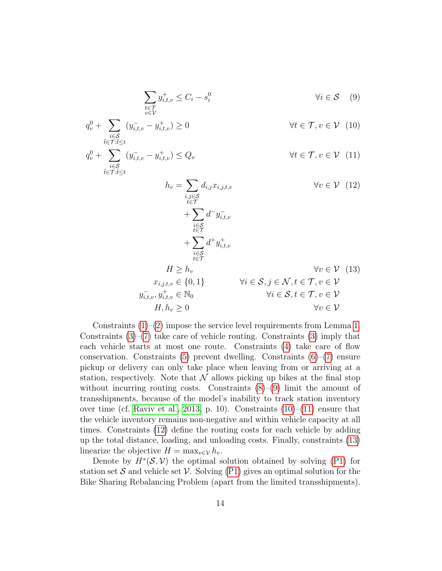<span id="page-13-3"></span><span id="page-13-2"></span><span id="page-13-1"></span><span id="page-13-0"></span>
$$
\sum_{\substack{t \in \mathcal{T} \\ v \in \mathcal{V}}} y_{i,t,v}^+ \le C_i - s_i^0 \qquad \forall i \in \mathcal{S} \quad (9)
$$

$$
q_v^0 + \sum_{\substack{i \in \mathcal{S} \\ \tilde{t} \in \mathcal{T}: \tilde{t} \le t}} (y_{i,t,v} - y_{i,t,v}^+) \ge 0 \qquad \qquad \forall t \in \mathcal{T}, v \in \mathcal{V} \tag{10}
$$

$$
q_v^0 + \sum_{\substack{i \in \mathcal{S} \\ \tilde{t} \in \mathcal{T}: \tilde{t} \le t}} (y_{i,t,v} - y_{i,t,v}^+) \le Q_v \qquad \qquad \forall t \in \mathcal{T}, v \in \mathcal{V} \tag{11}
$$

<span id="page-13-4"></span>
$$
h_v = \sum_{\substack{i,j \in S \\ i \in \mathcal{T} \\ i \in \mathcal{T}}} d_{i,j} x_{i,j,t,v} \qquad \forall v \in \mathcal{V} \quad (12)
$$
\n
$$
+ \sum_{\substack{i \in S \\ i \in \mathcal{T} \\ i \in \mathcal{T}}} d^{\top} y_{i,t,v}^{-} + \sum_{\substack{i \in S \\ i \in \mathcal{T}}} d^{\top} y_{i,t,v}^{+} \qquad \forall v \in \mathcal{V} \quad (13)
$$
\n
$$
H \ge h_v \qquad \forall i \in S, j \in \mathcal{N}, t \in \mathcal{T}, v \in \mathcal{V}
$$
\n
$$
y_{i,t,v}^{-}, y_{i,t,v}^{+} \in \mathbb{N}_0 \qquad \forall i \in S, t \in \mathcal{T}, v \in \mathcal{V}
$$
\n
$$
H, h_v \ge 0 \qquad \forall v \in \mathcal{V}
$$

Constraints  $(1)$ – $(2)$  impose the service level requirements from Lemma [1.](#page-9-0) Constraints  $(3)$ – $(7)$  take care of vehicle routing. Constraints  $(3)$  imply that each vehicle starts at most one route. Constraints [\(4\)](#page-12-4) take care of flow conservation. Constraints  $(5)$  prevent dwelling. Constraints  $(6)$ – $(7)$  ensure pickup or delivery can only take place when leaving from or arriving at a station, respectively. Note that  $\mathcal N$  allows picking up bikes at the final stop without incurring routing costs. Constraints  $(8)-(9)$  $(8)-(9)$  $(8)-(9)$  limit the amount of transshipments, because of the model's inability to track station inventory over time (cf. [Raviv et al., 2013,](#page-38-0) p. 10). Constraints  $(10)$ – $(11)$  ensure that the vehicle inventory remains non-negative and within vehicle capacity at all times. Constraints [\(12\)](#page-13-3) define the routing costs for each vehicle by adding up the total distance, loading, and unloading costs. Finally, constraints [\(13\)](#page-13-4) linearize the objective  $H = \max_{v \in \mathcal{V}} h_v$ .

Denote by  $H^*(\mathcal{S}, \mathcal{V})$  the optimal solution obtained by solving [\(P1\)](#page-12-8) for station set S and vehicle set V. Solving  $(P1)$  gives an optimal solution for the Bike Sharing Rebalancing Problem (apart from the limited transshipments).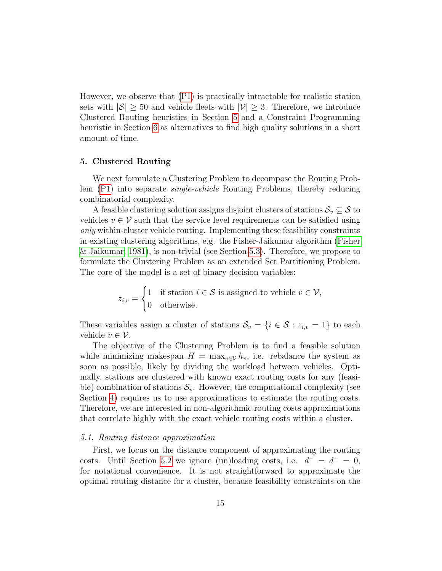However, we observe that [\(P1\)](#page-12-8) is practically intractable for realistic station sets with  $|\mathcal{S}| \geq 50$  and vehicle fleets with  $|\mathcal{V}| \geq 3$ . Therefore, we introduce Clustered Routing heuristics in Section [5](#page-14-0) and a Constraint Programming heuristic in Section [6](#page-21-0) as alternatives to find high quality solutions in a short amount of time.

# <span id="page-14-0"></span>5. Clustered Routing

We next formulate a Clustering Problem to decompose the Routing Problem [\(P1\)](#page-12-8) into separate single-vehicle Routing Problems, thereby reducing combinatorial complexity.

A feasible clustering solution assigns disjoint clusters of stations  $\mathcal{S}_v \subseteq \mathcal{S}$  to vehicles  $v \in V$  such that the service level requirements can be satisfied using only within-cluster vehicle routing. Implementing these feasibility constraints in existing clustering algorithms, e.g. the Fisher-Jaikumar algorithm [\(Fisher](#page-35-8) [& Jaikumar, 1981\)](#page-35-8), is non-trivial (see Section [5.3\)](#page-18-0). Therefore, we propose to formulate the Clustering Problem as an extended Set Partitioning Problem. The core of the model is a set of binary decision variables:

> $z_{i,v} =$  $\int 1$  if station  $i \in S$  is assigned to vehicle  $v \in V$ , 0 otherwise.

These variables assign a cluster of stations  $\mathcal{S}_v = \{i \in \mathcal{S} : z_{i,v} = 1\}$  to each vehicle  $v \in \mathcal{V}$ .

The objective of the Clustering Problem is to find a feasible solution while minimizing makespan  $H = \max_{v \in V} h_v$ , i.e. rebalance the system as soon as possible, likely by dividing the workload between vehicles. Optimally, stations are clustered with known exact routing costs for any (feasible) combination of stations  $S_v$ . However, the computational complexity (see Section [4\)](#page-11-0) requires us to use approximations to estimate the routing costs. Therefore, we are interested in non-algorithmic routing costs approximations that correlate highly with the exact vehicle routing costs within a cluster.

#### <span id="page-14-1"></span>5.1. Routing distance approximation

First, we focus on the distance component of approximating the routing costs. Until Section [5.2](#page-17-0) we ignore (un)loading costs, i.e.  $d^- = d^+ = 0$ , for notational convenience. It is not straightforward to approximate the optimal routing distance for a cluster, because feasibility constraints on the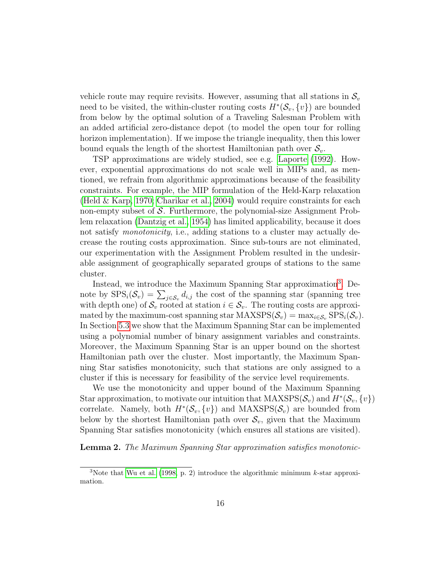vehicle route may require revisits. However, assuming that all stations in  $\mathcal{S}_v$ need to be visited, the within-cluster routing costs  $H^*(\mathcal{S}_v, \{v\})$  are bounded from below by the optimal solution of a Traveling Salesman Problem with an added artificial zero-distance depot (to model the open tour for rolling horizon implementation). If we impose the triangle inequality, then this lower bound equals the length of the shortest Hamiltonian path over  $S_v$ .

TSP approximations are widely studied, see e.g. [Laporte](#page-36-7) [\(1992\)](#page-36-7). However, exponential approximations do not scale well in MIPs and, as mentioned, we refrain from algorithmic approximations because of the feasibility constraints. For example, the MIP formulation of the Held-Karp relaxation [\(Held & Karp, 1970;](#page-35-9) [Charikar et al., 2004\)](#page-34-8) would require constraints for each non-empty subset of S. Furthermore, the polynomial-size Assignment Problem relaxation [\(Dantzig et al., 1954\)](#page-34-9) has limited applicability, because it does not satisfy *monotonicity*, i.e., adding stations to a cluster may actually decrease the routing costs approximation. Since sub-tours are not eliminated, our experimentation with the Assignment Problem resulted in the undesirable assignment of geographically separated groups of stations to the same cluster.

Instead, we introduce the Maximum Spanning Star approximation<sup>[3](#page-15-0)</sup>. Denote by  $SPS_i(\mathcal{S}_v) = \sum_{j \in \mathcal{S}_v} d_{i,j}$  the cost of the spanning star (spanning tree with depth one) of  $\mathcal{S}_v$  rooted at station  $i \in \mathcal{S}_v$ . The routing costs are approximated by the maximum-cost spanning star MAXSPS( $\mathcal{S}_v$ ) = max<sub>i∈ $\mathcal{S}_v$ </sub> SPS<sub>i</sub>( $\mathcal{S}_v$ ). In Section [5.3](#page-18-0) we show that the Maximum Spanning Star can be implemented using a polynomial number of binary assignment variables and constraints. Moreover, the Maximum Spanning Star is an upper bound on the shortest Hamiltonian path over the cluster. Most importantly, the Maximum Spanning Star satisfies monotonicity, such that stations are only assigned to a cluster if this is necessary for feasibility of the service level requirements.

We use the monotonicity and upper bound of the Maximum Spanning Star approximation, to motivate our intuition that  $\text{MAXSPS}(\mathcal{S}_v)$  and  $H^*(\mathcal{S}_v, \{v\})$ correlate. Namely, both  $H^*(\mathcal{S}_v, \{v\})$  and MAXSPS( $\mathcal{S}_v$ ) are bounded from below by the shortest Hamiltonian path over  $\mathcal{S}_{v}$ , given that the Maximum Spanning Star satisfies monotonicity (which ensures all stations are visited).

Lemma 2. The Maximum Spanning Star approximation satisfies monotonic-

<span id="page-15-0"></span><sup>&</sup>lt;sup>3</sup>Note that [Wu et al.](#page-38-6) [\(1998,](#page-38-6) p. 2) introduce the algorithmic minimum  $k$ -star approximation.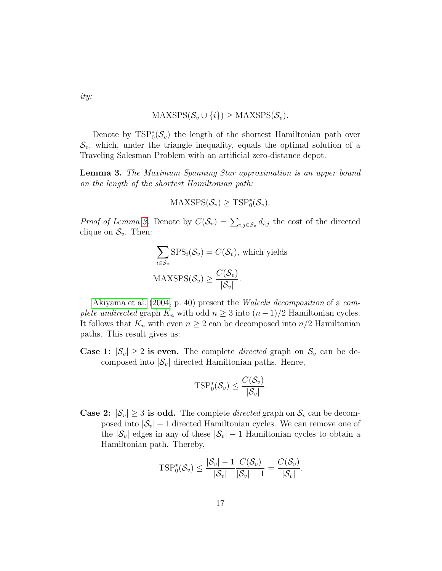ity:

$$
\text{MAXSPS}(\mathcal{S}_v \cup \{i\}) \geq \text{MAXSPS}(\mathcal{S}_v).
$$

Denote by  $TSP_0^*(S_v)$  the length of the shortest Hamiltonian path over  $\mathcal{S}_{v}$ , which, under the triangle inequality, equals the optimal solution of a Traveling Salesman Problem with an artificial zero-distance depot.

<span id="page-16-0"></span>Lemma 3. The Maximum Spanning Star approximation is an upper bound on the length of the shortest Hamiltonian path:

$$
\mathrm{MAXSPS}(\mathcal{S}_v) \geq \mathrm{TSP}^*_0(\mathcal{S}_v).
$$

*Proof of Lemma [3.](#page-16-0)* Denote by  $C(S_v) = \sum_{i,j \in S_v} d_{i,j}$  the cost of the directed clique on  $\mathcal{S}_v$ . Then:

$$
\sum_{i \in S_v} \text{SPS}_i(\mathcal{S}_v) = C(\mathcal{S}_v), \text{ which yields}
$$

$$
\text{MAXSPS}(\mathcal{S}_v) \ge \frac{C(\mathcal{S}_v)}{|\mathcal{S}_v|}.
$$

[Akiyama et al.](#page-33-3) [\(2004,](#page-33-3) p. 40) present the Walecki decomposition of a complete undirected graph  $K_n$  with odd  $n \geq 3$  into  $(n-1)/2$  Hamiltonian cycles. It follows that  $K_n$  with even  $n \geq 2$  can be decomposed into  $n/2$  Hamiltonian paths. This result gives us:

**Case 1:**  $|\mathcal{S}_v| \geq 2$  is even. The complete *directed* graph on  $\mathcal{S}_v$  can be decomposed into  $|\mathcal{S}_v|$  directed Hamiltonian paths. Hence,

$$
\text{TSP}_{0}^{*}(\mathcal{S}_{v}) \leq \frac{C(\mathcal{S}_{v})}{|\mathcal{S}_{v}|}.
$$

**Case 2:**  $|\mathcal{S}_v| \geq 3$  is odd. The complete *directed* graph on  $\mathcal{S}_v$  can be decomposed into  $|\mathcal{S}_v|$  – 1 directed Hamiltonian cycles. We can remove one of the  $|\mathcal{S}_v|$  edges in any of these  $|\mathcal{S}_v|$  – 1 Hamiltonian cycles to obtain a Hamiltonian path. Thereby,

$$
\text{TSP}^*_0(\mathcal{S}_v) \leq \frac{|\mathcal{S}_v| - 1}{|\mathcal{S}_v|} \frac{C(\mathcal{S}_v)}{|\mathcal{S}_v| - 1} = \frac{C(\mathcal{S}_v)}{|\mathcal{S}_v|}.
$$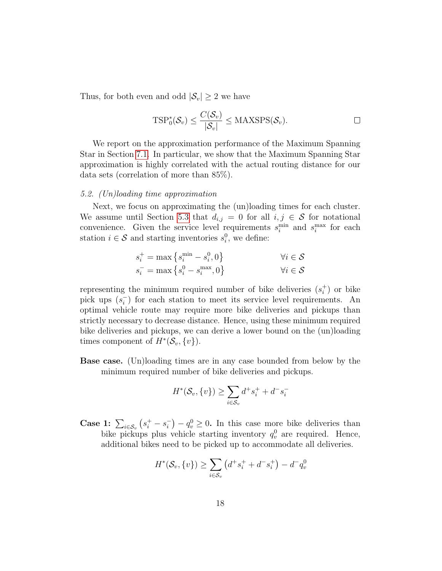Thus, for both even and odd  $|\mathcal{S}_v| \geq 2$  we have

$$
\text{TSP}^*_0(\mathcal{S}_v) \leq \frac{C(\mathcal{S}_v)}{|\mathcal{S}_v|} \leq \text{MAXSPS}(\mathcal{S}_v).
$$

We report on the approximation performance of the Maximum Spanning Star in Section [7.1.](#page-25-0) In particular, we show that the Maximum Spanning Star approximation is highly correlated with the actual routing distance for our data sets (correlation of more than 85%).

## <span id="page-17-0"></span>5.2. (Un)loading time approximation

Next, we focus on approximating the (un)loading times for each cluster. We assume until Section [5.3](#page-18-0) that  $d_{i,j} = 0$  for all  $i, j \in S$  for notational convenience. Given the service level requirements  $s_i^{\text{min}}$  and  $s_i^{\text{max}}$  for each station  $i \in \mathcal{S}$  and starting inventories  $s_i^0$ , we define:

$$
s_i^+ = \max\left\{s_i^{\min} - s_i^0, 0\right\} \qquad \qquad \forall i \in \mathcal{S}
$$
  

$$
s_i^- = \max\left\{s_i^0 - s_i^{\max}, 0\right\} \qquad \qquad \forall i \in \mathcal{S}
$$

representing the minimum required number of bike deliveries  $(s_i^+)$  $\binom{+}{i}$  or bike pick ups  $(s_i^-)$  $\binom{1}{i}$  for each station to meet its service level requirements. An optimal vehicle route may require more bike deliveries and pickups than strictly necessary to decrease distance. Hence, using these minimum required bike deliveries and pickups, we can derive a lower bound on the (un)loading times component of  $H^*(\mathcal{S}_v, \{v\})$ .

Base case. (Un)loading times are in any case bounded from below by the minimum required number of bike deliveries and pickups.

$$
H^*(\mathcal{S}_v, \{v\}) \ge \sum_{i \in \mathcal{S}_v} d^+ s_i^+ + d^- s_i^-
$$

Case 1:  $\sum_{i \in S_v} (s_i^+ - s_i^-)$  $\binom{-}{i} - q_v^0 \geq 0$ . In this case more bike deliveries than bike pickups plus vehicle starting inventory  $q_v^0$  are required. Hence, additional bikes need to be picked up to accommodate all deliveries.

$$
H^*(\mathcal{S}_v, \{v\}) \ge \sum_{i \in \mathcal{S}_v} \left( d^+ s_i^+ + d^- s_i^+ \right) - d^- q_v^0
$$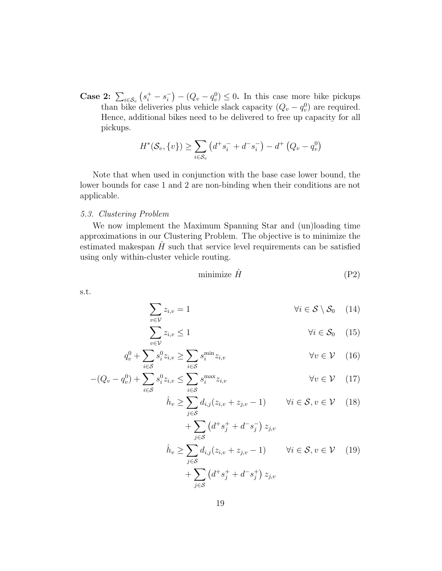Case 2:  $\sum_{i \in \mathcal{S}_v} (s_i^+ - s_i^-)$  $\binom{-}{i} - (Q_v - q_v^0) \leq 0$ . In this case more bike pickups than bike deliveries plus vehicle slack capacity  $(Q_v - q_v^0)$  are required. Hence, additional bikes need to be delivered to free up capacity for all pickups.

$$
H^*(\mathcal{S}_v, \{v\}) \ge \sum_{i \in \mathcal{S}_v} \left( d^+ s_i^- + d^- s_i^- \right) - d^+ \left( Q_v - q_v^0 \right)
$$

Note that when used in conjunction with the base case lower bound, the lower bounds for case 1 and 2 are non-binding when their conditions are not applicable.

# <span id="page-18-0"></span>5.3. Clustering Problem

We now implement the Maximum Spanning Star and (un)loading time approximations in our Clustering Problem. The objective is to minimize the estimated makespan  $H$  such that service level requirements can be satisfied using only within-cluster vehicle routing.

<span id="page-18-7"></span><span id="page-18-4"></span><span id="page-18-3"></span><span id="page-18-2"></span><span id="page-18-1"></span>
$$
minimize \ \hat{H} \tag{P2}
$$

s.t.

$$
\sum_{v \in \mathcal{V}} z_{i,v} = 1 \qquad \qquad \forall i \in \mathcal{S} \setminus \mathcal{S}_0 \quad (14)
$$

$$
\sum_{v \in \mathcal{V}} z_{i,v} \le 1 \qquad \qquad \forall i \in \mathcal{S}_0 \quad (15)
$$

$$
q_v^0 + \sum_{i \in \mathcal{S}} s_i^0 z_{i,v} \ge \sum_{i \in \mathcal{S}} s_i^{\min} z_{i,v} \qquad \forall v \in \mathcal{V} \quad (16)
$$

$$
-(Q_v - q_v^0) + \sum_{i \in S} s_i^0 z_{i,v} \le \sum_{i \in S} s_i^{\max} z_{i,v} \qquad \forall v \in \mathcal{V} \quad (17)
$$

<span id="page-18-5"></span>
$$
\hat{h}_v \ge \sum_{j \in \mathcal{S}} d_{i,j} (z_{i,v} + z_{j,v} - 1) \qquad \forall i \in \mathcal{S}, v \in \mathcal{V} \quad (18)
$$

<span id="page-18-6"></span>
$$
+\sum_{j\in\mathcal{S}} \left(d^+s_j^+ + d^-s_j^-\right) z_{j,v}
$$
\n
$$
\hat{h}_v \ge \sum_{j\in\mathcal{S}} d_{i,j}(z_{i,v} + z_{j,v} - 1) \qquad \forall i \in \mathcal{S}, v \in \mathcal{V} \quad (19)
$$
\n
$$
+\sum_{j\in\mathcal{S}} \left(d^+s_j^+ + d^-s_j^+\right) z_{j,v}
$$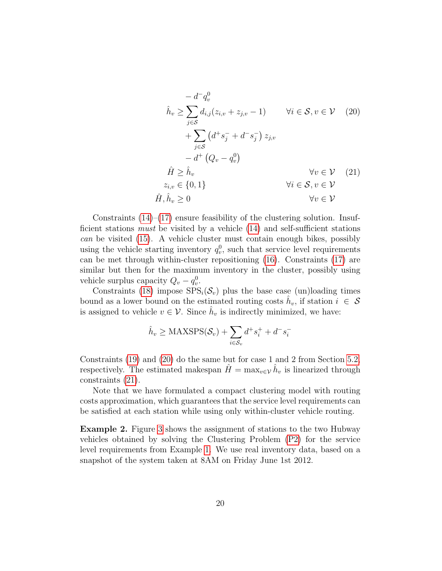<span id="page-19-1"></span><span id="page-19-0"></span>
$$
-d^{-}q_{v}^{0}
$$
\n
$$
\hat{h}_{v} \geq \sum_{j \in S} d_{i,j}(z_{i,v} + z_{j,v} - 1) \qquad \forall i \in S, v \in V \quad (20)
$$
\n
$$
+ \sum_{j \in S} (d^{+} s_{j}^{-} + d^{-} s_{j}^{-}) z_{j,v}
$$
\n
$$
-d^{+} (Q_{v} - q_{v}^{0})
$$
\n
$$
\hat{H} \geq \hat{h}_{v} \qquad \forall v \in V \quad (21)
$$
\n
$$
\hat{H}, \hat{h}_{v} \geq 0 \qquad \forall v \in V
$$

Constraints  $(14)$ – $(17)$  ensure feasibility of the clustering solution. Insufficient stations must be visited by a vehicle [\(14\)](#page-18-1) and self-sufficient stations can be visited [\(15\)](#page-18-3). A vehicle cluster must contain enough bikes, possibly using the vehicle starting inventory  $q_v^0$ , such that service level requirements can be met through within-cluster repositioning [\(16\)](#page-18-4). Constraints [\(17\)](#page-18-2) are similar but then for the maximum inventory in the cluster, possibly using vehicle surplus capacity  $Q_v - q_v^0$ .

Constraints [\(18\)](#page-18-5) impose  $SPS_i(\mathcal{S}_v)$  plus the base case (un)loading times bound as a lower bound on the estimated routing costs  $\hat{h}_v$ , if station  $i \in \mathcal{S}$ is assigned to vehicle  $v \in \mathcal{V}$ . Since  $\hat{h}_v$  is indirectly minimized, we have:

$$
\hat{h}_v \ge \text{MAXSPS}(\mathcal{S}_v) + \sum_{i \in \mathcal{S}_v} d^+ s_i^+ + d^- s_i^-
$$

Constraints [\(19\)](#page-18-6) and [\(20\)](#page-19-0) do the same but for case 1 and 2 from Section [5.2,](#page-17-0) respectively. The estimated makespan  $\hat{H} = \max_{v \in \mathcal{V}} \hat{h}_v$  is linearized through constraints [\(21\)](#page-19-1).

Note that we have formulated a compact clustering model with routing costs approximation, which guarantees that the service level requirements can be satisfied at each station while using only within-cluster vehicle routing.

Example 2. Figure [3](#page-20-0) shows the assignment of stations to the two Hubway vehicles obtained by solving the Clustering Problem [\(P2\)](#page-18-7) for the service level requirements from Example [1.](#page-10-1) We use real inventory data, based on a snapshot of the system taken at 8AM on Friday June 1st 2012.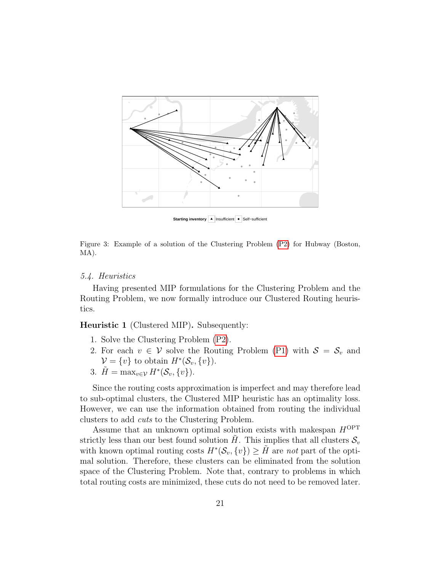

**Starting inventory** ▲ Insufficient ● Self-sufficient

<span id="page-20-0"></span>Figure 3: Example of a solution of the Clustering Problem [\(P2\)](#page-18-7) for Hubway (Boston, MA).

## 5.4. Heuristics

Having presented MIP formulations for the Clustering Problem and the Routing Problem, we now formally introduce our Clustered Routing heuristics.

<span id="page-20-1"></span>Heuristic 1 (Clustered MIP). Subsequently:

- 1. Solve the Clustering Problem [\(P2\)](#page-18-7).
- 2. For each  $v \in V$  solve the Routing Problem [\(P1\)](#page-12-8) with  $S = S_v$  and  $\mathcal{V} = \{v\}$  to obtain  $H^*(\mathcal{S}_v, \{v\})$ .
- 3.  $\tilde{H} = \max_{v \in \mathcal{V}} H^*(\mathcal{S}_v, \{v\}).$

Since the routing costs approximation is imperfect and may therefore lead to sub-optimal clusters, the Clustered MIP heuristic has an optimality loss. However, we can use the information obtained from routing the individual clusters to add cuts to the Clustering Problem.

Assume that an unknown optimal solution exists with makespan  $H^\mathrm{OPT}$ strictly less than our best found solution  $H$ . This implies that all clusters  $S_v$ with known optimal routing costs  $H^*(\mathcal{S}_v, \{v\}) \geq \tilde{H}$  are not part of the optimal solution. Therefore, these clusters can be eliminated from the solution space of the Clustering Problem. Note that, contrary to problems in which total routing costs are minimized, these cuts do not need to be removed later.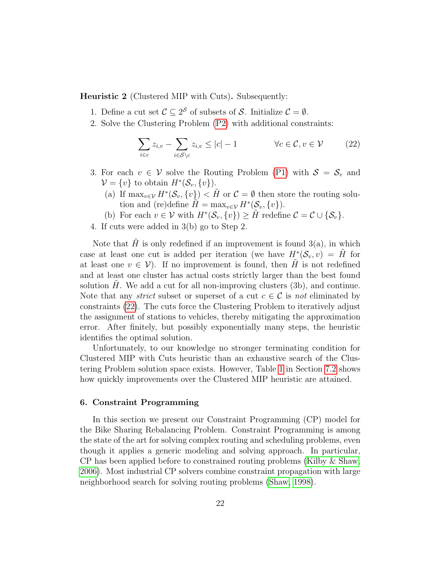<span id="page-21-2"></span>Heuristic 2 (Clustered MIP with Cuts). Subsequently:

- 1. Define a cut set  $\mathcal{C} \subseteq 2^{\mathcal{S}}$  of subsets of  $\mathcal{S}$ . Initialize  $\mathcal{C} = \emptyset$ .
- 2. Solve the Clustering Problem [\(P2\)](#page-18-7) with additional constraints:

<span id="page-21-1"></span>
$$
\sum_{i \in c} z_{i,v} - \sum_{i \in S \setminus c} z_{i,v} \le |c| - 1 \qquad \forall c \in \mathcal{C}, v \in \mathcal{V} \qquad (22)
$$

- 3. For each  $v \in V$  solve the Routing Problem [\(P1\)](#page-12-8) with  $S = S_v$  and  $\mathcal{V} = \{v\}$  to obtain  $H^*(\mathcal{S}_v, \{v\})$ .
	- (a) If  $\max_{v \in V} H^*(\mathcal{S}_v, \{v\}) < \tilde{H}$  or  $\mathcal{C} = \emptyset$  then store the routing solution and (re)define  $\widetilde{H} = \max_{v \in \mathcal{V}} H^*(\mathcal{S}_v, \{v\}).$
	- (b) For each  $v \in \mathcal{V}$  with  $H^*(\mathcal{S}_v, \{v\}) \geq \tilde{H}$  redefine  $\mathcal{C} = \mathcal{C} \cup \{\mathcal{S}_v\}.$
- 4. If cuts were added in 3(b) go to Step 2.

Note that H is only redefined if an improvement is found  $3(a)$ , in which case at least one cut is added per iteration (we have  $H^*(\mathcal{S}_v,v) = \tilde{H}$  for at least one  $v \in V$ ). If no improvement is found, then H is not redefined and at least one cluster has actual costs strictly larger than the best found solution  $H$ . We add a cut for all non-improving clusters  $(3b)$ , and continue. Note that any *strict* subset or superset of a cut  $c \in \mathcal{C}$  is not eliminated by constraints [\(22\)](#page-21-1). The cuts force the Clustering Problem to iteratively adjust the assignment of stations to vehicles, thereby mitigating the approximation error. After finitely, but possibly exponentially many steps, the heuristic identifies the optimal solution.

Unfortunately, to our knowledge no stronger terminating condition for Clustered MIP with Cuts heuristic than an exhaustive search of the Clustering Problem solution space exists. However, Table [1](#page-28-0) in Section [7.2](#page-26-0) shows how quickly improvements over the Clustered MIP heuristic are attained.

#### <span id="page-21-0"></span>6. Constraint Programming

In this section we present our Constraint Programming (CP) model for the Bike Sharing Rebalancing Problem. Constraint Programming is among the state of the art for solving complex routing and scheduling problems, even though it applies a generic modeling and solving approach. In particular, CP has been applied before to constrained routing problems [\(Kilby & Shaw,](#page-36-8) [2006\)](#page-36-8). Most industrial CP solvers combine constraint propagation with large neighborhood search for solving routing problems [\(Shaw, 1998\)](#page-38-7).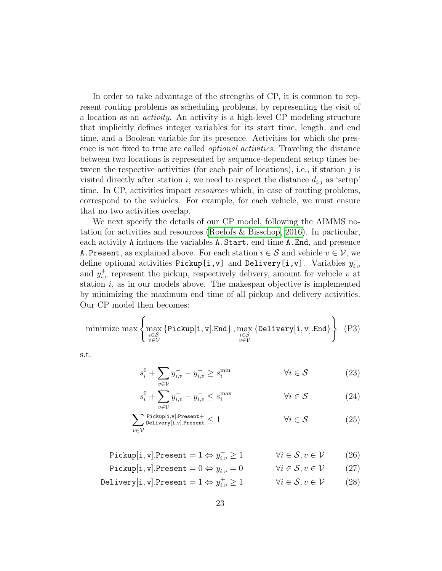In order to take advantage of the strengths of CP, it is common to represent routing problems as scheduling problems, by representing the visit of a location as an activity. An activity is a high-level CP modeling structure that implicitly defines integer variables for its start time, length, and end time, and a Boolean variable for its presence. Activities for which the presence is not fixed to true are called optional activities. Traveling the distance between two locations is represented by sequence-dependent setup times between the respective activities (for each pair of locations), i.e., if station  $j$  is visited directly after station i, we need to respect the distance  $d_{i,j}$  as 'setup' time. In CP, activities impact resources which, in case of routing problems, correspond to the vehicles. For example, for each vehicle, we must ensure that no two activities overlap.

We next specify the details of our CP model, following the AIMMS notation for activities and resources [\(Roelofs & Bisschop, 2016\)](#page-38-8). In particular, each activity A induces the variables A.Start, end time A.End, and presence A. Present, as explained above. For each station  $i \in \mathcal{S}$  and vehicle  $v \in \mathcal{V}$ , we define optional activities Pickup[i,v] and Delivery[i,v]. Variables  $y_{i,i}^$ i,v and  $y_{i,v}^+$  represent the pickup, respectively delivery, amount for vehicle v at station  $i$ , as in our models above. The makespan objective is implemented by minimizing the maximum end time of all pickup and delivery activities. Our CP model then becomes:

minimize max 
$$
\left\{\max_{\substack{i \in S \\ v \in V}} \{\text{Pickup}[i, v], \text{End}\}, \max_{\substack{i \in S \\ v \in V}} \{\text{Delivery}[i, v], \text{End}\}\right\}
$$
 (P3)

s.t.

<span id="page-22-4"></span><span id="page-22-0"></span>
$$
s_i^0 + \sum_{v \in \mathcal{V}} y_{i,v}^+ - y_{i,v}^- \ge s_i^{\min} \qquad \qquad \forall i \in \mathcal{S} \tag{23}
$$

<span id="page-22-3"></span><span id="page-22-2"></span><span id="page-22-1"></span>
$$
s_i^0 + \sum_{v \in \mathcal{V}} y_{i,v}^+ - y_{i,v}^- \le s_i^{\max} \qquad \qquad \forall i \in \mathcal{S} \tag{24}
$$

$$
\sum_{v \in \mathcal{V}} \text{Pickup}[i, v]. \text{Present} + \le 1 \qquad \qquad \forall i \in \mathcal{S} \tag{25}
$$

Pickup $[\texttt{i}, \texttt{v}].$ Present =  $1 \Leftrightarrow y_{i,i}^{-1}$  $\forall i \in \mathcal{S}, v \in \mathcal{V}$  (26)

$$
\text{Pickup}[\mathbf{i}, \mathbf{v}]. \text{Present} = 0 \Leftrightarrow y_{i,v}^- = 0 \qquad \qquad \forall i \in \mathcal{S}, v \in \mathcal{V} \tag{27}
$$

Delivery $[\texttt{i}, \texttt{v}].$ Present  $= 1 \Leftrightarrow y_{i,i}^+$  $\forall i \in \mathcal{S}, v \in \mathcal{V}$  (28)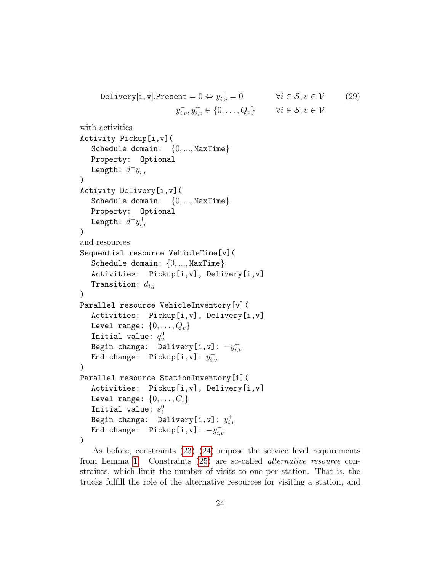```
Delivery[\texttt{i}, \texttt{v}].Present = 0 \Leftrightarrow y_{i,i}^+\forall i \in \mathcal{S}, v \in \mathcal{V} (29)
                                        y_{i,v}^-, y_{i,v}^+ \in \{0, \ldots, Q_v\} \forall i \in \mathcal{S}, v \in \mathcal{V}
```

```
with activities
Activity Pickup[i,v](
   Schedule domain: \{0, ..., \text{MaxTime}\}\Property: Optional
   Length: d^-y_{i,j}^-_{i,v}\lambdaActivity Delivery[i,v](
   Schedule domain: \{0, ..., \text{MaxTime}\}\Property: Optional
   Length: d^+y_{i,j}^+_{i,v}\lambdaand resources
Sequential resource VehicleTime[v](
   Schedule domain: \{0, ..., \text{MaxTime}\}\Activities: Pickup[i,v], Delivery[i,v]
   Transition: d_{i,j})
Parallel resource VehicleInventory[v](
   Activities: Pickup[i,v], Delivery[i,v]
  Level range: \{0, \ldots, Q_v\}Initial value: q_v^0Begin change: Delivery[i,v]: -y_{i,i}^+i,v
   End change: Pickup[i,v]: y_{i,i}^-i,v
)
Parallel resource StationInventory[i](
   Activities: Pickup[i,v], Delivery[i,v]
  Level range: \{0, \ldots, C_i\}Initial value: s_i^0Begin change: Delivery[i,v]: y_{i,i}^+_{i,v}End change: Pickup[i,v]: -y_{i,i}^-_{i,v})
```
As before, constraints  $(23)$ – $(24)$  impose the service level requirements from Lemma [1.](#page-9-0) Constraints [\(25\)](#page-22-2) are so-called alternative resource constraints, which limit the number of visits to one per station. That is, the trucks fulfill the role of the alternative resources for visiting a station, and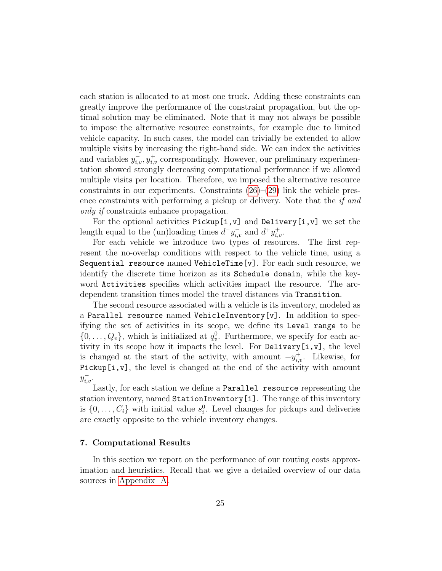each station is allocated to at most one truck. Adding these constraints can greatly improve the performance of the constraint propagation, but the optimal solution may be eliminated. Note that it may not always be possible to impose the alternative resource constraints, for example due to limited vehicle capacity. In such cases, the model can trivially be extended to allow multiple visits by increasing the right-hand side. We can index the activities and variables  $y_{i,v}^-, y_{i,v}^+$  correspondingly. However, our preliminary experimentation showed strongly decreasing computational performance if we allowed multiple visits per location. Therefore, we imposed the alternative resource constraints in our experiments. Constraints  $(26)$ – $(29)$  link the vehicle presence constraints with performing a pickup or delivery. Note that the if and only if constraints enhance propagation.

For the optional activities Pickup[i,v] and Delivery[i,v] we set the length equal to the (un)loading times  $d^-y_{i,v}^-$  and  $d^+y_{i,v}^+$ .

For each vehicle we introduce two types of resources. The first represent the no-overlap conditions with respect to the vehicle time, using a Sequential resource named VehicleTime[v]. For each such resource, we identify the discrete time horizon as its Schedule domain, while the keyword Activities specifies which activities impact the resource. The arcdependent transition times model the travel distances via Transition.

The second resource associated with a vehicle is its inventory, modeled as a Parallel resource named VehicleInventory[v]. In addition to specifying the set of activities in its scope, we define its Level range to be  $\{0, \ldots, Q_v\}$ , which is initialized at  $q_v^0$ . Furthermore, we specify for each activity in its scope how it impacts the level. For Delivery[i,v], the level is changed at the start of the activity, with amount  $-y_{i,v}^+$ . Likewise, for Pickup[i,v], the level is changed at the end of the activity with amount  $y_{i,v}^-$ .

Lastly, for each station we define a Parallel resource representing the station inventory, named StationInventory[i]. The range of this inventory is  $\{0, \ldots, C_i\}$  with initial value  $s_i^0$ . Level changes for pickups and deliveries are exactly opposite to the vehicle inventory changes.

#### <span id="page-24-0"></span>7. Computational Results

In this section we report on the performance of our routing costs approximation and heuristics. Recall that we give a detailed overview of our data sources in [Appendix A.](#page-32-0)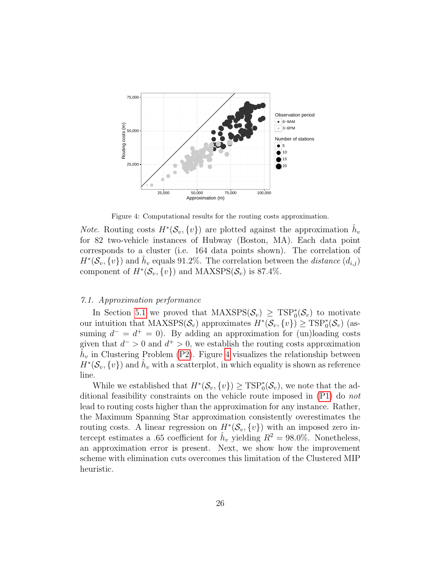

<span id="page-25-1"></span>Figure 4: Computational results for the routing costs approximation.

*Note.* Routing costs  $H^*(\mathcal{S}_v, \{v\})$  are plotted against the approximation  $\hat{h}_v$ for 82 two-vehicle instances of Hubway (Boston, MA). Each data point corresponds to a cluster (i.e. 164 data points shown). The correlation of  $H^*(\mathcal{S}_v, \{v\})$  and  $\hat{h}_v$  equals 91.2%. The correlation between the *distance*  $(d_{i,j})$ component of  $H^*(\mathcal{S}_v, \{v\})$  and  $\text{MAXSPS}(\mathcal{S}_v)$  is 87.4%.

# <span id="page-25-0"></span>7.1. Approximation performance

In Section [5.1](#page-14-1) we proved that  $\text{MAXSPS}(\mathcal{S}_v) \geq \text{TSP}_0^*(\mathcal{S}_v)$  to motivate our intuition that MAXSPS( $S_v$ ) approximates  $H^*(S_v, \{v\}) \geq \text{TSP}_0^*(S_v)$  (assuming  $d^- = d^+ = 0$ ). By adding an approximation for (un)loading costs given that  $d^{-} > 0$  and  $d^{+} > 0$ , we establish the routing costs approximation  $\tilde{h}_v$  in Clustering Problem [\(P2\)](#page-18-7). Figure [4](#page-25-1) visualizes the relationship between  $H^*(\mathcal{S}_v, \{v\})$  and  $\hat{h}_v$  with a scatterplot, in which equality is shown as reference line.

While we established that  $H^*(\mathcal{S}_v, \{v\}) \geq \text{TSP}_0^*(\mathcal{S}_v)$ , we note that the additional feasibility constraints on the vehicle route imposed in [\(P1\)](#page-12-8) do not lead to routing costs higher than the approximation for any instance. Rather, the Maximum Spanning Star approximation consistently overestimates the routing costs. A linear regression on  $H^*(\mathcal{S}_v, \{v\})$  with an imposed zero intercept estimates a .65 coefficient for  $\hat{h}_v$  yielding  $R^2 = 98.0\%$ . Nonetheless, an approximation error is present. Next, we show how the improvement scheme with elimination cuts overcomes this limitation of the Clustered MIP heuristic.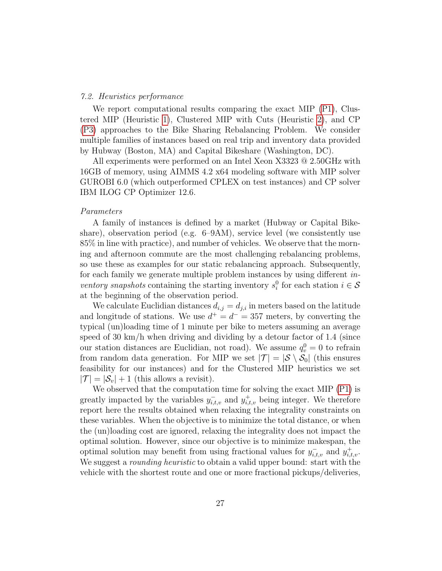## <span id="page-26-0"></span>7.2. Heuristics performance

We report computational results comparing the exact MIP  $(P1)$ , Clustered MIP (Heuristic [1\)](#page-20-1), Clustered MIP with Cuts (Heuristic [2\)](#page-21-2), and CP [\(P3\)](#page-22-4) approaches to the Bike Sharing Rebalancing Problem. We consider multiple families of instances based on real trip and inventory data provided by Hubway (Boston, MA) and Capital Bikeshare (Washington, DC).

All experiments were performed on an Intel Xeon X3323 @ 2.50GHz with 16GB of memory, using AIMMS 4.2 x64 modeling software with MIP solver GUROBI 6.0 (which outperformed CPLEX on test instances) and CP solver IBM ILOG CP Optimizer 12.6.

## Parameters

A family of instances is defined by a market (Hubway or Capital Bikeshare), observation period (e.g. 6–9AM), service level (we consistently use 85% in line with practice), and number of vehicles. We observe that the morning and afternoon commute are the most challenging rebalancing problems, so use these as examples for our static rebalancing approach. Subsequently, for each family we generate multiple problem instances by using different inventory snapshots containing the starting inventory  $s_i^0$  for each station  $i \in \mathcal{S}$ at the beginning of the observation period.

We calculate Euclidian distances  $d_{i,j} = d_{j,i}$  in meters based on the latitude and longitude of stations. We use  $d^+ = d^- = 357$  meters, by converting the typical (un)loading time of 1 minute per bike to meters assuming an average speed of  $30 \text{ km/h}$  when driving and dividing by a detour factor of 1.4 (since our station distances are Euclidian, not road). We assume  $q_v^0 = 0$  to refrain from random data generation. For MIP we set  $|\mathcal{T}| = |\mathcal{S} \setminus \mathcal{S}_0|$  (this ensures feasibility for our instances) and for the Clustered MIP heuristics we set  $|\mathcal{T}| = |\mathcal{S}_v| + 1$  (this allows a revisit).

We observed that the computation time for solving the exact MIP [\(P1\)](#page-12-8) is greatly impacted by the variables  $y_{i,t,v}^-$  and  $y_{i,t,v}^+$  being integer. We therefore report here the results obtained when relaxing the integrality constraints on these variables. When the objective is to minimize the total distance, or when the (un)loading cost are ignored, relaxing the integrality does not impact the optimal solution. However, since our objective is to minimize makespan, the optimal solution may benefit from using fractional values for  $y_{i,t,v}^-$  and  $y_{i,t,v}^+$ . We suggest a *rounding heuristic* to obtain a valid upper bound: start with the vehicle with the shortest route and one or more fractional pickups/deliveries,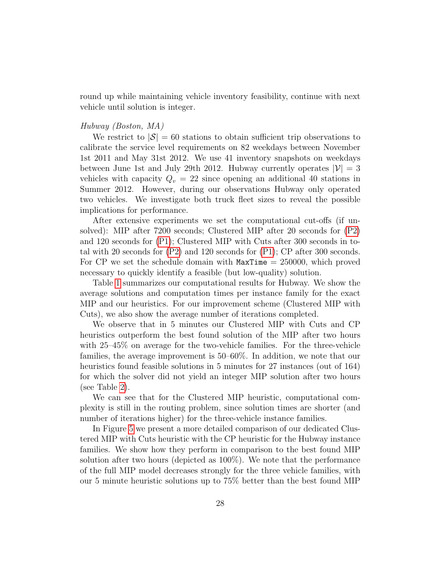round up while maintaining vehicle inventory feasibility, continue with next vehicle until solution is integer.

## Hubway (Boston, MA)

We restrict to  $|\mathcal{S}| = 60$  stations to obtain sufficient trip observations to calibrate the service level requirements on 82 weekdays between November 1st 2011 and May 31st 2012. We use 41 inventory snapshots on weekdays between June 1st and July 29th 2012. Hubway currently operates  $|\mathcal{V}| = 3$ vehicles with capacity  $Q_v = 22$  since opening an additional 40 stations in Summer 2012. However, during our observations Hubway only operated two vehicles. We investigate both truck fleet sizes to reveal the possible implications for performance.

After extensive experiments we set the computational cut-offs (if unsolved): MIP after 7200 seconds; Clustered MIP after 20 seconds for [\(P2\)](#page-18-7) and 120 seconds for [\(P1\)](#page-12-8); Clustered MIP with Cuts after 300 seconds in total with 20 seconds for [\(P2\)](#page-18-7) and 120 seconds for [\(P1\)](#page-12-8); CP after 300 seconds. For CP we set the schedule domain with  $MaxTime = 250000$ , which proved necessary to quickly identify a feasible (but low-quality) solution.

Table [1](#page-28-0) summarizes our computational results for Hubway. We show the average solutions and computation times per instance family for the exact MIP and our heuristics. For our improvement scheme (Clustered MIP with Cuts), we also show the average number of iterations completed.

We observe that in 5 minutes our Clustered MIP with Cuts and CP heuristics outperform the best found solution of the MIP after two hours with 25–45% on average for the two-vehicle families. For the three-vehicle families, the average improvement is 50–60%. In addition, we note that our heuristics found feasible solutions in 5 minutes for 27 instances (out of 164) for which the solver did not yield an integer MIP solution after two hours (see Table [2\)](#page-28-1).

We can see that for the Clustered MIP heuristic, computational complexity is still in the routing problem, since solution times are shorter (and number of iterations higher) for the three-vehicle instance families.

In Figure [5](#page-29-0) we present a more detailed comparison of our dedicated Clustered MIP with Cuts heuristic with the CP heuristic for the Hubway instance families. We show how they perform in comparison to the best found MIP solution after two hours (depicted as 100%). We note that the performance of the full MIP model decreases strongly for the three vehicle families, with our 5 minute heuristic solutions up to 75% better than the best found MIP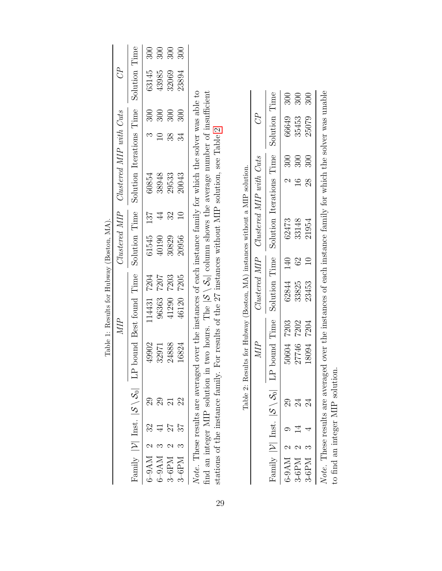<span id="page-28-1"></span><span id="page-28-0"></span>

|                                           |                                       |                                                                 | 300       | 300           | 300     | 300                       |                                                                                                                                                                                                                                                                                                                     |
|-------------------------------------------|---------------------------------------|-----------------------------------------------------------------|-----------|---------------|---------|---------------------------|---------------------------------------------------------------------------------------------------------------------------------------------------------------------------------------------------------------------------------------------------------------------------------------------------------------------|
|                                           | $C^P$                                 | Solution Time                                                   | 63145     | 43985         | 32069   | 23894                     |                                                                                                                                                                                                                                                                                                                     |
|                                           |                                       |                                                                 | 300       | 300           | 300     | 300                       | .<br>ع                                                                                                                                                                                                                                                                                                              |
|                                           |                                       | Solution Iterations Time                                        |           |               | 38      | 34                        | .<br>.<br>.                                                                                                                                                                                                                                                                                                         |
|                                           | Clustered MIP Clustered MIP with Cuts |                                                                 | 60854     | 38948         | 29533   | 20043                     |                                                                                                                                                                                                                                                                                                                     |
|                                           |                                       |                                                                 | 187       |               |         |                           |                                                                                                                                                                                                                                                                                                                     |
|                                           |                                       | Solution Time                                                   | 61545     | 40190         | 30829   | 20956                     | $\frac{1}{2}$ $\frac{1}{2}$ $\frac{1}{2}$ $\frac{1}{2}$ $\frac{1}{2}$ $\frac{1}{2}$ $\frac{1}{2}$ $\frac{1}{2}$ $\frac{1}{2}$ $\frac{1}{2}$ $\frac{1}{2}$ $\frac{1}{2}$ $\frac{1}{2}$ $\frac{1}{2}$ $\frac{1}{2}$ $\frac{1}{2}$ $\frac{1}{2}$ $\frac{1}{2}$ $\frac{1}{2}$ $\frac{1}{2}$ $\frac{1}{2}$ $\frac{1}{2}$ |
|                                           |                                       |                                                                 | 7204      | 7207          | 7203    | 7205                      |                                                                                                                                                                                                                                                                                                                     |
| Table 1: Results for Hubway (Boston, MA). | MIP                                   |                                                                 | 114431    | 96363         | 41290   | 46120                     | over the instances of each instance family for which the solver was able to                                                                                                                                                                                                                                         |
|                                           |                                       | Family $ V $ Inst. $ S \setminus S_0 $ LP bound Best found Time | 49902     | 32971         | 24888   | 16824                     |                                                                                                                                                                                                                                                                                                                     |
|                                           |                                       |                                                                 |           | 29            |         |                           | Note. These results are averaged<br>$\ddot{a}$ and $\ddot{a}$ are defined as a set of $\ddot{a}$                                                                                                                                                                                                                    |
|                                           |                                       |                                                                 | 32        |               |         |                           |                                                                                                                                                                                                                                                                                                                     |
|                                           |                                       |                                                                 |           |               |         |                           |                                                                                                                                                                                                                                                                                                                     |
|                                           |                                       |                                                                 | $6-9AM$ 2 | $6-9AM$ $3\,$ | $3-6PM$ | $3\text{-}6\mathrm{PM}$ 3 |                                                                                                                                                                                                                                                                                                                     |

find an integer MIP solution in two hours. The  $|S \setminus S_0|$  column shows the average number of insufficient stations of the instance family. For results of the 27 instances without MIP solution, see Table 2. find an integer MIP solution in two hours. The  $|S \setminus S_0|$  column shows the average number of insufficient stations of the instance family. For results of the 27 instances without MIP solution, see Table [2.](#page-28-1)

Table 2: Results for Hubway (Boston, MA) instances without a MIP solution. Table 2: Results for Hubway (Boston, MA) instances without a MIP solution.

|                                                                               |  |            |      |                         | HOLD TO THE STATE OF THE STATE TO THE TOT STATE I THAT I THE LATER COLLEGE THAT I THE THROUGH THE STATE THAT THE THE STATE IS THE THE STATE OF THE STATE IS THE THE STATE OF THE STATE OF THE STATE OF THE STATE OF THE STATE |           |       |     |
|-------------------------------------------------------------------------------|--|------------|------|-------------------------|-------------------------------------------------------------------------------------------------------------------------------------------------------------------------------------------------------------------------------|-----------|-------|-----|
|                                                                               |  | MIP        |      |                         | $Clustered~MIP$ Clustered MIP with Cuts                                                                                                                                                                                       |           | G     |     |
| $\lceil \text{annily} \rceil$ $\lceil \nu \rceil$ Inst. $\lceil \cdot \rceil$ |  |            |      |                         | $S \setminus S_0$ LP bound Time Solution Time Solution Iterations Time Solution Time                                                                                                                                          |           |       |     |
| $5-9AM$ 2                                                                     |  | 50604 7203 |      | 140<br>62844            | 62473                                                                                                                                                                                                                         | 300       | 66649 | 300 |
| $3-6PM$                                                                       |  | 27746      | 7202 | $\mathbb{S}^1$<br>33825 | 33148                                                                                                                                                                                                                         | 300       | 35453 | 300 |
| $3-6$ PM 3                                                                    |  | 18094      | 7204 | 23453                   | 21954                                                                                                                                                                                                                         | 300<br>28 | 25079 | 300 |
| Vote. These results                                                           |  |            |      |                         | are averaged over the instances of each instance family for which the solver was unable                                                                                                                                       |           |       |     |

Note. These results are averaged over the instances of each instance family for which the solver was unable  $\mathcal{L}_{\mathbf{r}}$ ANDER A HOSPITAL SOLUTION.<br>The find an integer MIP solution. to find an integer MIP solution.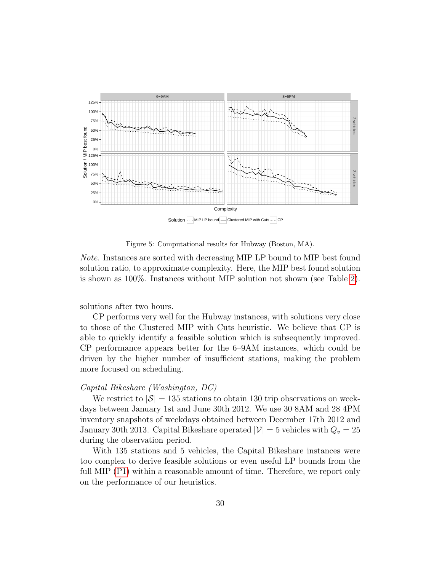

<span id="page-29-0"></span>Figure 5: Computational results for Hubway (Boston, MA).

Note. Instances are sorted with decreasing MIP LP bound to MIP best found solution ratio, to approximate complexity. Here, the MIP best found solution is shown as 100%. Instances without MIP solution not shown (see Table [2\)](#page-28-1).

solutions after two hours.

CP performs very well for the Hubway instances, with solutions very close to those of the Clustered MIP with Cuts heuristic. We believe that CP is able to quickly identify a feasible solution which is subsequently improved. CP performance appears better for the 6–9AM instances, which could be driven by the higher number of insufficient stations, making the problem more focused on scheduling.

## Capital Bikeshare (Washington, DC)

We restrict to  $|\mathcal{S}| = 135$  stations to obtain 130 trip observations on weekdays between January 1st and June 30th 2012. We use 30 8AM and 28 4PM inventory snapshots of weekdays obtained between December 17th 2012 and January 30th 2013. Capital Bikeshare operated  $|\mathcal{V}| = 5$  vehicles with  $Q_v = 25$ during the observation period.

With 135 stations and 5 vehicles, the Capital Bikeshare instances were too complex to derive feasible solutions or even useful LP bounds from the full MIP  $(P1)$  within a reasonable amount of time. Therefore, we report only on the performance of our heuristics.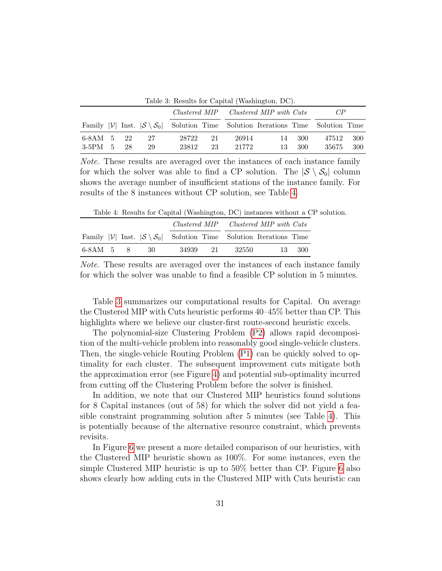|            |                                       |     |    |       |    |       | Table 3: Results for Capital (Washington, DC).                                              |       |       |     |
|------------|---------------------------------------|-----|----|-------|----|-------|---------------------------------------------------------------------------------------------|-------|-------|-----|
|            | Clustered MIP Clustered MIP with Cuts |     |    |       | CP |       |                                                                                             |       |       |     |
|            |                                       |     |    |       |    |       | Family $ V $ Inst. $ S \setminus S_0 $ Solution Time Solution Iterations Time Solution Time |       |       |     |
| 6-8AM 5    |                                       | -22 | 27 | 28722 | 21 | 26914 | 14                                                                                          | - 300 | 47512 | 300 |
| $3-5$ PM 5 |                                       | 28  | 29 | 23812 | 23 | 21772 | 13                                                                                          | 300   | 35675 | 300 |

<span id="page-30-1"></span>

Note. These results are averaged over the instances of each instance family for which the solver was able to find a CP solution. The  $|S \setminus S_0|$  column shows the average number of insufficient stations of the instance family. For results of the 8 instances without CP solution, see Table [4.](#page-30-0)

<span id="page-30-0"></span>Table 4: Results for Capital (Washington, DC) instances without a CP solution.

|           |  |      | Clustered MIP Clustered MIP with Cuts |  |         |                                                                               |        |
|-----------|--|------|---------------------------------------|--|---------|-------------------------------------------------------------------------------|--------|
|           |  |      |                                       |  |         | Family $ V $ Inst. $ S \setminus S_0 $ Solution Time Solution Iterations Time |        |
| 6-8AM 5 8 |  | - 30 | 34939 21                              |  | -32550- |                                                                               | 13 300 |

Note. These results are averaged over the instances of each instance family for which the solver was unable to find a feasible CP solution in 5 minutes.

Table [3](#page-30-1) summarizes our computational results for Capital. On average the Clustered MIP with Cuts heuristic performs 40–45% better than CP. This highlights where we believe our cluster-first route-second heuristic excels.

The polynomial-size Clustering Problem [\(P2\)](#page-18-7) allows rapid decomposition of the multi-vehicle problem into reasonably good single-vehicle clusters. Then, the single-vehicle Routing Problem [\(P1\)](#page-12-8) can be quickly solved to optimality for each cluster. The subsequent improvement cuts mitigate both the approximation error (see Figure [4\)](#page-25-1) and potential sub-optimality incurred from cutting off the Clustering Problem before the solver is finished.

In addition, we note that our Clustered MIP heuristics found solutions for 8 Capital instances (out of 58) for which the solver did not yield a feasible constraint programming solution after 5 minutes (see Table [4\)](#page-30-0). This is potentially because of the alternative resource constraint, which prevents revisits.

In Figure [6](#page-31-0) we present a more detailed comparison of our heuristics, with the Clustered MIP heuristic shown as 100%. For some instances, even the simple Clustered MIP heuristic is up to 50% better than CP. Figure [6](#page-31-0) also shows clearly how adding cuts in the Clustered MIP with Cuts heuristic can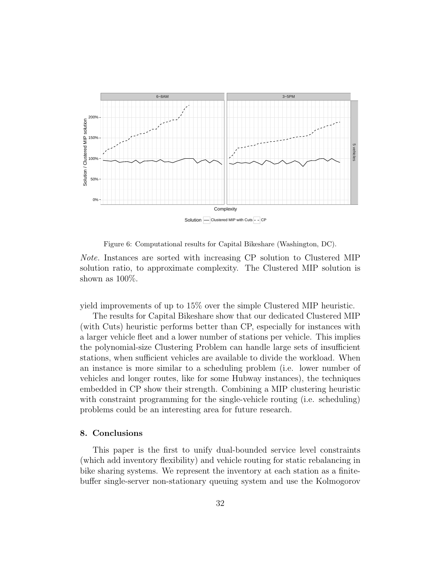

<span id="page-31-0"></span>Figure 6: Computational results for Capital Bikeshare (Washington, DC).

Note. Instances are sorted with increasing CP solution to Clustered MIP solution ratio, to approximate complexity. The Clustered MIP solution is shown as  $100\%$ .

yield improvements of up to 15% over the simple Clustered MIP heuristic.

The results for Capital Bikeshare show that our dedicated Clustered MIP (with Cuts) heuristic performs better than CP, especially for instances with a larger vehicle fleet and a lower number of stations per vehicle. This implies the polynomial-size Clustering Problem can handle large sets of insufficient stations, when sufficient vehicles are available to divide the workload. When an instance is more similar to a scheduling problem (i.e. lower number of vehicles and longer routes, like for some Hubway instances), the techniques embedded in CP show their strength. Combining a MIP clustering heuristic with constraint programming for the single-vehicle routing (i.e. scheduling) problems could be an interesting area for future research.

# 8. Conclusions

This paper is the first to unify dual-bounded service level constraints (which add inventory flexibility) and vehicle routing for static rebalancing in bike sharing systems. We represent the inventory at each station as a finitebuffer single-server non-stationary queuing system and use the Kolmogorov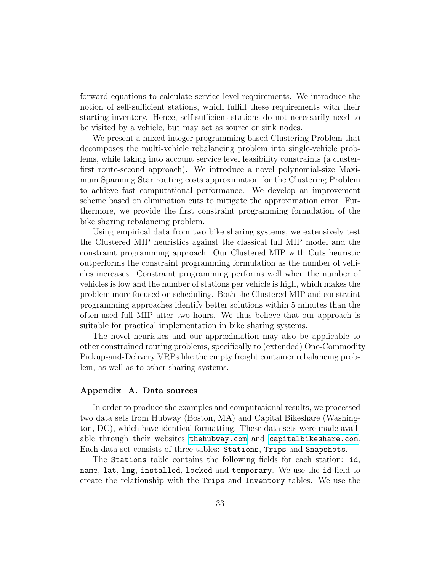forward equations to calculate service level requirements. We introduce the notion of self-sufficient stations, which fulfill these requirements with their starting inventory. Hence, self-sufficient stations do not necessarily need to be visited by a vehicle, but may act as source or sink nodes.

We present a mixed-integer programming based Clustering Problem that decomposes the multi-vehicle rebalancing problem into single-vehicle problems, while taking into account service level feasibility constraints (a clusterfirst route-second approach). We introduce a novel polynomial-size Maximum Spanning Star routing costs approximation for the Clustering Problem to achieve fast computational performance. We develop an improvement scheme based on elimination cuts to mitigate the approximation error. Furthermore, we provide the first constraint programming formulation of the bike sharing rebalancing problem.

Using empirical data from two bike sharing systems, we extensively test the Clustered MIP heuristics against the classical full MIP model and the constraint programming approach. Our Clustered MIP with Cuts heuristic outperforms the constraint programming formulation as the number of vehicles increases. Constraint programming performs well when the number of vehicles is low and the number of stations per vehicle is high, which makes the problem more focused on scheduling. Both the Clustered MIP and constraint programming approaches identify better solutions within 5 minutes than the often-used full MIP after two hours. We thus believe that our approach is suitable for practical implementation in bike sharing systems.

The novel heuristics and our approximation may also be applicable to other constrained routing problems, specifically to (extended) One-Commodity Pickup-and-Delivery VRPs like the empty freight container rebalancing problem, as well as to other sharing systems.

## <span id="page-32-0"></span>Appendix A. Data sources

In order to produce the examples and computational results, we processed two data sets from Hubway (Boston, MA) and Capital Bikeshare (Washington, DC), which have identical formatting. These data sets were made available through their websites <thehubway.com> and <capitalbikeshare.com>. Each data set consists of three tables: Stations, Trips and Snapshots.

The Stations table contains the following fields for each station: id, name, lat, lng, installed, locked and temporary. We use the id field to create the relationship with the Trips and Inventory tables. We use the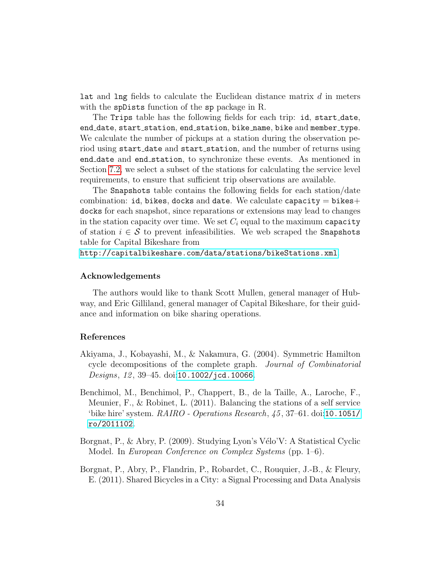lat and lng fields to calculate the Euclidean distance matrix d in meters with the spDists function of the sp package in R.

The Trips table has the following fields for each trip: id, start date, end date, start station, end station, bike name, bike and member type. We calculate the number of pickups at a station during the observation period using start\_date and start\_station, and the number of returns using end date and end station, to synchronize these events. As mentioned in Section [7.2,](#page-26-0) we select a subset of the stations for calculating the service level requirements, to ensure that sufficient trip observations are available.

The Snapshots table contains the following fields for each station/date combination: id, bikes, docks and date. We calculate capacity  $=$  bikes $+$ docks for each snapshot, since reparations or extensions may lead to changes in the station capacity over time. We set  $C_i$  equal to the maximum capacity of station  $i \in \mathcal{S}$  to prevent infeasibilities. We web scraped the Snapshots table for Capital Bikeshare from

<http://capitalbikeshare.com/data/stations/bikeStations.xml>.

#### Acknowledgements

The authors would like to thank Scott Mullen, general manager of Hubway, and Eric Gilliland, general manager of Capital Bikeshare, for their guidance and information on bike sharing operations.

# References

- <span id="page-33-3"></span>Akiyama, J., Kobayashi, M., & Nakamura, G. (2004). Symmetric Hamilton cycle decompositions of the complete graph. Journal of Combinatorial Designs,  $12, 39-45.$  doi:[10.1002/jcd.10066](http://dx.doi.org/10.1002/jcd.10066).
- <span id="page-33-2"></span>Benchimol, M., Benchimol, P., Chappert, B., de la Taille, A., Laroche, F., Meunier, F., & Robinet, L. (2011). Balancing the stations of a self service 'bike hire' system. RAIRO - Operations Research, 45 , 37–61. doi:[10.1051/](http://dx.doi.org/10.1051/ro/2011102) [ro/2011102](http://dx.doi.org/10.1051/ro/2011102).
- <span id="page-33-0"></span>Borgnat, P., & Abry, P. (2009). Studying Lyon's Vélo'V: A Statistical Cyclic Model. In European Conference on Complex Systems (pp. 1–6).
- <span id="page-33-1"></span>Borgnat, P., Abry, P., Flandrin, P., Robardet, C., Rouquier, J.-B., & Fleury, E. (2011). Shared Bicycles in a City: a Signal Processing and Data Analysis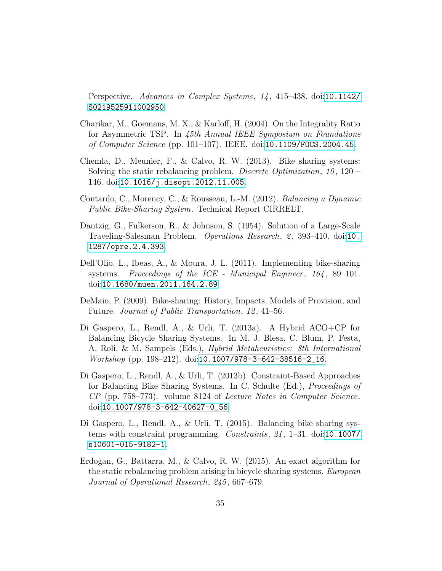Perspective. Advances in Complex Systems, 14, 415–438. doi:[10.1142/](http://dx.doi.org/10.1142/S0219525911002950) [S0219525911002950](http://dx.doi.org/10.1142/S0219525911002950).

- <span id="page-34-8"></span>Charikar, M., Goemans, M. X., & Karloff, H. (2004). On the Integrality Ratio for Asymmetric TSP. In 45th Annual IEEE Symposium on Foundations of Computer Science (pp. 101–107). IEEE. doi:[10.1109/FOCS.2004.45](http://dx.doi.org/10.1109/FOCS.2004.45).
- <span id="page-34-3"></span>Chemla, D., Meunier, F., & Calvo, R. W. (2013). Bike sharing systems: Solving the static rebalancing problem. Discrete Optimization, 10, 120 – 146. doi:[10.1016/j.disopt.2012.11.005](http://dx.doi.org/10.1016/j.disopt.2012.11.005).
- <span id="page-34-1"></span>Contardo, C., Morency, C., & Rousseau, L.-M. (2012). Balancing a Dynamic Public Bike-Sharing System. Technical Report CIRRELT.
- <span id="page-34-9"></span>Dantzig, G., Fulkerson, R., & Johnson, S. (1954). Solution of a Large-Scale Traveling-Salesman Problem. *Operations Research*, 2, 393–4[10.](http://dx.doi.org/10.1287/opre.2.4.393) doi:10. [1287/opre.2.4.393](http://dx.doi.org/10.1287/opre.2.4.393).
- <span id="page-34-2"></span>Dell'Olio, L., Ibeas, A., & Moura, J. L. (2011). Implementing bike-sharing systems. Proceedings of the ICE - Municipal Engineer,  $164$ , 89-101. doi:[10.1680/muen.2011.164.2.89](http://dx.doi.org/10.1680/muen.2011.164.2.89).
- <span id="page-34-0"></span>DeMaio, P. (2009). Bike-sharing: History, Impacts, Models of Provision, and Future. Journal of Public Transportation, 12, 41–56.
- <span id="page-34-7"></span>Di Gaspero, L., Rendl, A., & Urli, T. (2013a). A Hybrid ACO+CP for Balancing Bicycle Sharing Systems. In M. J. Blesa, C. Blum, P. Festa, A. Roli, & M. Sampels (Eds.), Hybrid Metaheuristics: 8th International  $Workshop$  (pp. 198–212). doi:10.1007/978–3–642–38516–2\_16.
- <span id="page-34-5"></span>Di Gaspero, L., Rendl, A., & Urli, T. (2013b). Constraint-Based Approaches for Balancing Bike Sharing Systems. In C. Schulte (Ed.), Proceedings of CP (pp. 758–773). volume 8124 of Lecture Notes in Computer Science. doi:[10.1007/978-3-642-40627-0\\_56](http://dx.doi.org/10.1007/978-3-642-40627-0_56).
- <span id="page-34-6"></span>Di Gaspero, L., Rendl, A., & Urli, T. (2015). Balancing bike sharing systems with constraint programming. Constraints, 21 , 1–31. doi:[10.1007/](http://dx.doi.org/10.1007/s10601-015-9182-1) [s10601-015-9182-1](http://dx.doi.org/10.1007/s10601-015-9182-1).
- <span id="page-34-4"></span>Erdoğan, G., Battarra, M., & Calvo, R. W.  $(2015)$ . An exact algorithm for the static rebalancing problem arising in bicycle sharing systems. European Journal of Operational Research, 245 , 667–679.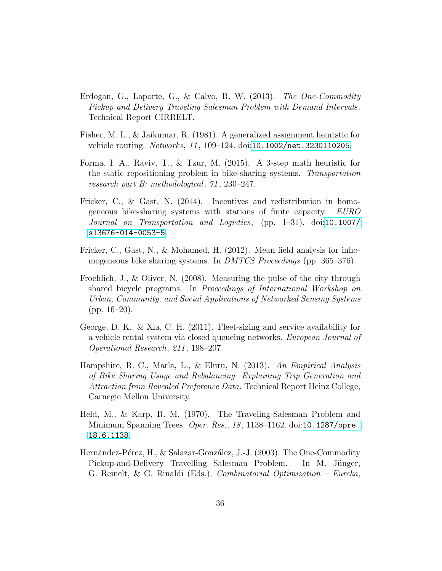- <span id="page-35-6"></span>Erdoğan, G., Laporte, G., & Calvo, R. W.  $(2013)$ . The One-Commodity Pickup and Delivery Traveling Salesman Problem with Demand Intervals. Technical Report CIRRELT.
- <span id="page-35-8"></span>Fisher, M. L., & Jaikumar, R. (1981). A generalized assignment heuristic for vehicle routing. Networks, 11, 109-124. doi:[10.1002/net.3230110205](http://dx.doi.org/10.1002/net.3230110205).
- <span id="page-35-7"></span>Forma, I. A., Raviv, T., & Tzur, M. (2015). A 3-step math heuristic for the static repositioning problem in bike-sharing systems. Transportation research part B: methodological, 71 , 230–247.
- <span id="page-35-4"></span>Fricker, C., & Gast, N. (2014). Incentives and redistribution in homogeneous bike-sharing systems with stations of finite capacity. EURO Journal on Transportation and Logistics, (pp. 1–31). doi:[10.1007/](http://dx.doi.org/10.1007/s13676-014-0053-5) [s13676-014-0053-5](http://dx.doi.org/10.1007/s13676-014-0053-5).
- <span id="page-35-0"></span>Fricker, C., Gast, N., & Mohamed, H. (2012). Mean field analysis for inhomogeneous bike sharing systems. In *DMTCS Proceedings* (pp. 365–376).
- <span id="page-35-1"></span>Froehlich, J., & Oliver, N. (2008). Measuring the pulse of the city through shared bicycle programs. In Proceedings of International Workshop on Urban, Community, and Social Applications of Networked Sensing Systems  $(pp. 16-20).$
- <span id="page-35-3"></span>George, D. K., & Xia, C. H. (2011). Fleet-sizing and service availability for a vehicle rental system via closed queueing networks. European Journal of Operational Research, 211 , 198–207.
- <span id="page-35-2"></span>Hampshire, R. C., Marla, L., & Eluru, N. (2013). An Empirical Analysis of Bike Sharing Usage and Rebalancing: Explaining Trip Generation and Attraction from Revealed Preference Data. Technical Report Heinz College, Carnegie Mellon University.
- <span id="page-35-9"></span>Held, M., & Karp, R. M. (1970). The Traveling-Salesman Problem and Minimum Spanning Trees. Oper. Res., 18, 1138-1162. doi:[10.1287/opre.](http://dx.doi.org/10.1287/opre.18.6.1138) [18.6.1138](http://dx.doi.org/10.1287/opre.18.6.1138).
- <span id="page-35-5"></span>Hernández-Pérez, H., & Salazar-González, J.-J. (2003). The One-Commodity Pickup-and-Delivery Travelling Salesman Problem. In M. Jünger, G. Reinelt, & G. Rinaldi (Eds.), Combinatorial Optimization – Eureka,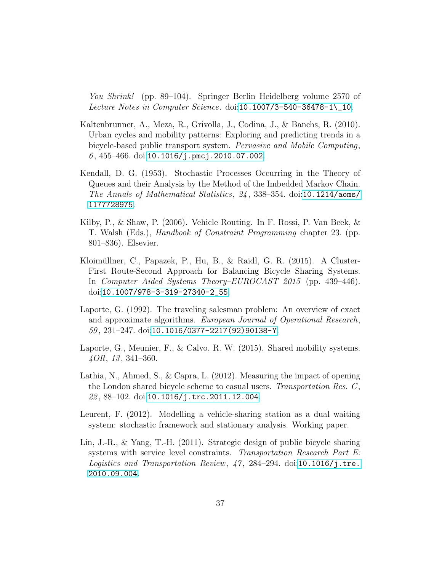You Shrink! (pp. 89–104). Springer Berlin Heidelberg volume 2570 of Lecture Notes in Computer Science. doi:[10.1007/3-540-36478-1\\\_10](http://dx.doi.org/10.1007/3-540-36478-1_10).

- <span id="page-36-2"></span>Kaltenbrunner, A., Meza, R., Grivolla, J., Codina, J., & Banchs, R. (2010). Urban cycles and mobility patterns: Exploring and predicting trends in a bicycle-based public transport system. Pervasive and Mobile Computing,  $6, 455 - 466.$  doi:[10.1016/j.pmcj.2010.07.002](http://dx.doi.org/10.1016/j.pmcj.2010.07.002).
- <span id="page-36-6"></span>Kendall, D. G. (1953). Stochastic Processes Occurring in the Theory of Queues and their Analysis by the Method of the Imbedded Markov Chain. The Annals of Mathematical Statistics, 24 , 338–354. doi:[10.1214/aoms/](http://dx.doi.org/10.1214/aoms/1177728975) [1177728975](http://dx.doi.org/10.1214/aoms/1177728975).
- <span id="page-36-8"></span>Kilby, P., & Shaw, P. (2006). Vehicle Routing. In F. Rossi, P. Van Beek, & T. Walsh (Eds.), Handbook of Constraint Programming chapter 23. (pp. 801–836). Elsevier.
- <span id="page-36-5"></span>Kloimüllner, C., Papazek, P., Hu, B., & Raidl, G. R. (2015). A Cluster-First Route-Second Approach for Balancing Bicycle Sharing Systems. In Computer Aided Systems Theory–EUROCAST 2015 (pp. 439–446). doi:[10.1007/978-3-319-27340-2\\_55](http://dx.doi.org/10.1007/978-3-319-27340-2_55).
- <span id="page-36-7"></span>Laporte, G. (1992). The traveling salesman problem: An overview of exact and approximate algorithms. European Journal of Operational Research, 59 , 231–247. doi:[10.1016/0377-2217\(92\)90138-Y](http://dx.doi.org/10.1016/0377-2217(92)90138-Y).
- <span id="page-36-0"></span>Laporte, G., Meunier, F., & Calvo, R. W. (2015). Shared mobility systems.  $\mu$ OR, 13, 341–360.
- <span id="page-36-3"></span>Lathia, N., Ahmed, S., & Capra, L. (2012). Measuring the impact of opening the London shared bicycle scheme to casual users. Transportation Res.  $C$ ,  $22,88-102.$  doi:[10.1016/j.trc.2011.12.004](http://dx.doi.org/10.1016/j.trc.2011.12.004).
- <span id="page-36-4"></span>Leurent, F. (2012). Modelling a vehicle-sharing station as a dual waiting system: stochastic framework and stationary analysis. Working paper.
- <span id="page-36-1"></span>Lin, J.-R., & Yang, T.-H. (2011). Strategic design of public bicycle sharing systems with service level constraints. Transportation Research Part E: Logistics and Transportation Review, 47, 284-294. doi:[10.1016/j.tre.](http://dx.doi.org/10.1016/j.tre.2010.09.004) [2010.09.004](http://dx.doi.org/10.1016/j.tre.2010.09.004).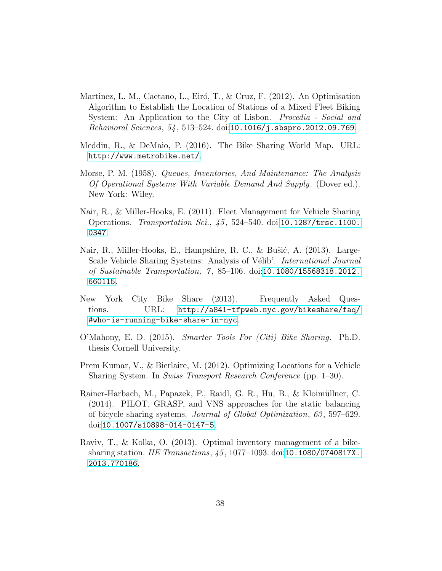- <span id="page-37-1"></span>Martinez, L. M., Caetano, L., Eiró, T., & Cruz, F. (2012). An Optimisation Algorithm to Establish the Location of Stations of a Mixed Fleet Biking System: An Application to the City of Lisbon. *Procedia - Social and* Behavioral Sciences, 54 , 513–524. doi:[10.1016/j.sbspro.2012.09.769](http://dx.doi.org/10.1016/j.sbspro.2012.09.769).
- <span id="page-37-0"></span>Meddin, R., & DeMaio, P. (2016). The Bike Sharing World Map. URL: <http://www.metrobike.net/>.
- <span id="page-37-8"></span>Morse, P. M. (1958). Queues, Inventories, And Maintenance: The Analysis Of Operational Systems With Variable Demand And Supply. (Dover ed.). New York: Wiley.
- <span id="page-37-3"></span>Nair, R., & Miller-Hooks, E. (2011). Fleet Management for Vehicle Sharing Operations. Transportation Sci.,  $45$ , 524-540. doi:[10.1287/trsc.1100.](http://dx.doi.org/10.1287/trsc.1100.0347) [0347](http://dx.doi.org/10.1287/trsc.1100.0347).
- <span id="page-37-4"></span>Nair, R., Miller-Hooks, E., Hampshire, R. C., & Bušić, A. (2013). Large-Scale Vehicle Sharing Systems: Analysis of Vélib'. *International Journal* of Sustainable Transportation, 7 , 85–106. doi:[10.1080/15568318.2012.](http://dx.doi.org/10.1080/15568318.2012.660115) [660115](http://dx.doi.org/10.1080/15568318.2012.660115).
- <span id="page-37-9"></span>New York City Bike Share (2013). Frequently Asked Questions. URL: [http://a841-tfpweb.nyc.gov/bikeshare/faq/](http://a841-tfpweb.nyc.gov/bikeshare/faq/#who-is-running-bike-share-in-nyc) [#who-is-running-bike-share-in-nyc](http://a841-tfpweb.nyc.gov/bikeshare/faq/#who-is-running-bike-share-in-nyc).
- <span id="page-37-7"></span>O'Mahony, E. D. (2015). Smarter Tools For (Citi) Bike Sharing. Ph.D. thesis Cornell University.
- <span id="page-37-2"></span>Prem Kumar, V., & Bierlaire, M. (2012). Optimizing Locations for a Vehicle Sharing System. In Swiss Transport Research Conference (pp. 1–30).
- <span id="page-37-6"></span>Rainer-Harbach, M., Papazek, P., Raidl, G. R., Hu, B., & Kloimüllner, C. (2014). PILOT, GRASP, and VNS approaches for the static balancing of bicycle sharing systems. Journal of Global Optimization, 63 , 597–629. doi:[10.1007/s10898-014-0147-5](http://dx.doi.org/10.1007/s10898-014-0147-5).
- <span id="page-37-5"></span>Raviv, T., & Kolka, O. (2013). Optimal inventory management of a bikesharing station. IIE Transactions, 45 , 1077–1093. doi:[10.1080/0740817X.](http://dx.doi.org/10.1080/0740817X.2013.770186) [2013.770186](http://dx.doi.org/10.1080/0740817X.2013.770186).